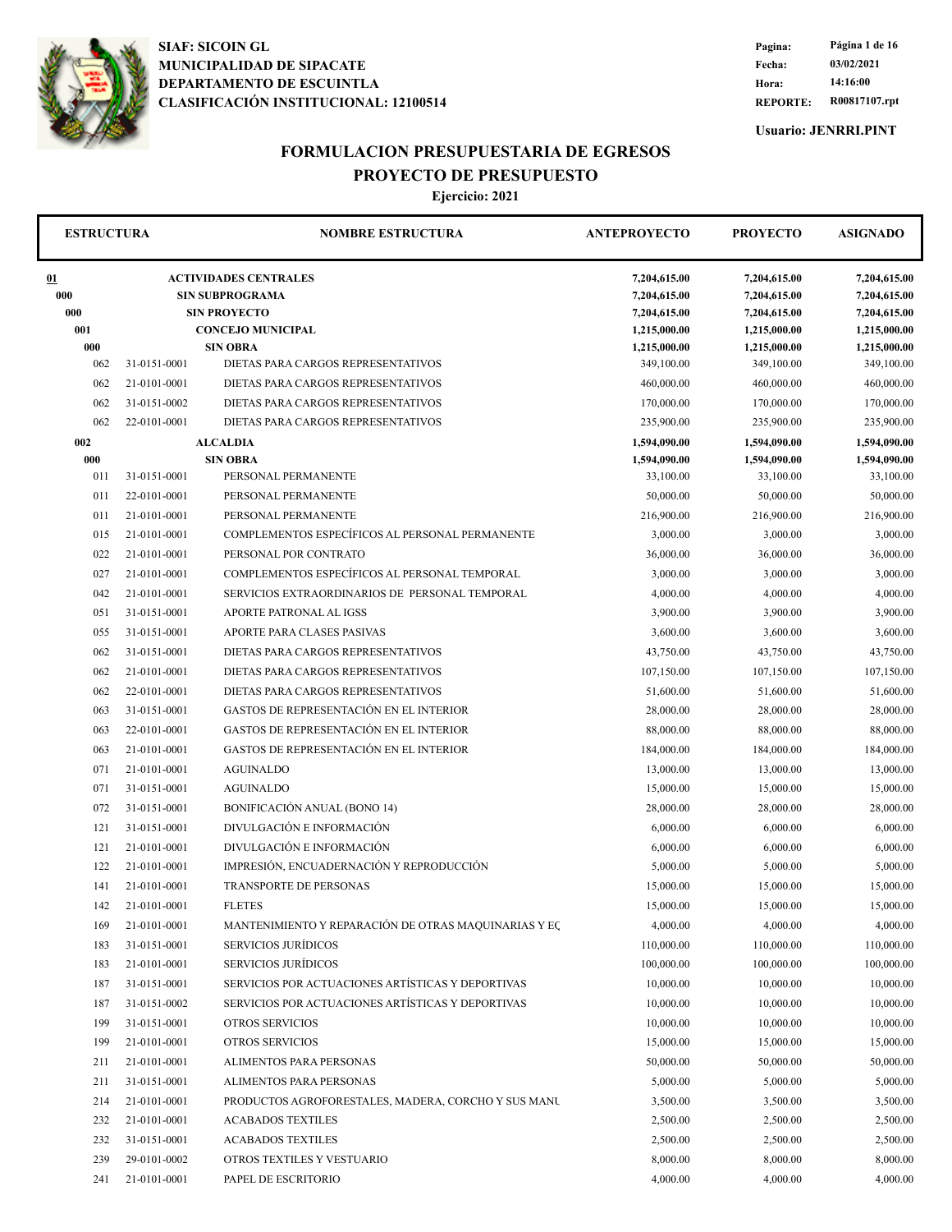

**REPORTE: R00817107.rpt Hora: 14:16:00 Fecha: 03/02/2021 Pagina: Página 1 de 16**

**Usuario: JENRRI.PINT**

## **FORMULACION PRESUPUESTARIA DE EGRESOS PROYECTO DE PRESUPUESTO**

| <b>ESTRUCTURA</b> |              | <b>NOMBRE ESTRUCTURA</b>                                                      | <b>ANTEPROYECTO</b>                          | <b>PROYECTO</b>                              | <b>ASIGNADO</b>                              |
|-------------------|--------------|-------------------------------------------------------------------------------|----------------------------------------------|----------------------------------------------|----------------------------------------------|
| 01<br>000<br>000  |              | <b>ACTIVIDADES CENTRALES</b><br><b>SIN SUBPROGRAMA</b><br><b>SIN PROYECTO</b> | 7,204,615.00<br>7,204,615.00<br>7,204,615.00 | 7,204,615.00<br>7,204,615.00<br>7,204,615.00 | 7,204,615.00<br>7,204,615.00<br>7,204,615.00 |
| 001               |              | <b>CONCEJO MUNICIPAL</b>                                                      | 1,215,000.00                                 | 1,215,000.00                                 | 1,215,000.00                                 |
| 000               |              | <b>SIN OBRA</b>                                                               | 1,215,000.00                                 | 1,215,000.00                                 | 1,215,000.00                                 |
| 062               | 31-0151-0001 | DIETAS PARA CARGOS REPRESENTATIVOS                                            | 349,100.00                                   | 349,100.00                                   | 349,100.00                                   |
| 062               | 21-0101-0001 | DIETAS PARA CARGOS REPRESENTATIVOS                                            | 460,000.00                                   | 460,000.00                                   | 460,000.00                                   |
| 062               | 31-0151-0002 | DIETAS PARA CARGOS REPRESENTATIVOS                                            | 170,000.00                                   | 170,000.00                                   | 170,000.00                                   |
| 062               | 22-0101-0001 | DIETAS PARA CARGOS REPRESENTATIVOS                                            | 235,900.00                                   | 235,900.00                                   | 235,900.00                                   |
| 002<br>000        |              | <b>ALCALDIA</b><br><b>SIN OBRA</b>                                            | 1,594,090.00                                 | 1,594,090.00                                 | 1,594,090.00                                 |
| 011               | 31-0151-0001 | PERSONAL PERMANENTE                                                           | 1,594,090.00<br>33,100.00                    | 1,594,090.00<br>33,100.00                    | 1,594,090.00<br>33,100.00                    |
| 011               | 22-0101-0001 | PERSONAL PERMANENTE                                                           | 50,000.00                                    | 50,000.00                                    | 50,000.00                                    |
| 011               | 21-0101-0001 | PERSONAL PERMANENTE                                                           | 216,900.00                                   | 216,900.00                                   | 216,900.00                                   |
| 015               | 21-0101-0001 | COMPLEMENTOS ESPECÍFICOS AL PERSONAL PERMANENTE                               | 3,000.00                                     | 3,000.00                                     | 3,000.00                                     |
| 022               | 21-0101-0001 | PERSONAL POR CONTRATO                                                         | 36,000.00                                    | 36,000.00                                    | 36,000.00                                    |
| 027               | 21-0101-0001 | COMPLEMENTOS ESPECÍFICOS AL PERSONAL TEMPORAL                                 | 3,000.00                                     | 3,000.00                                     | 3,000.00                                     |
| 042               | 21-0101-0001 | SERVICIOS EXTRAORDINARIOS DE PERSONAL TEMPORAL                                | 4,000.00                                     | 4,000.00                                     | 4,000.00                                     |
| 051               | 31-0151-0001 | APORTE PATRONAL AL IGSS                                                       | 3,900.00                                     | 3,900.00                                     | 3,900.00                                     |
| 055               | 31-0151-0001 | APORTE PARA CLASES PASIVAS                                                    | 3,600.00                                     | 3,600.00                                     | 3,600.00                                     |
| 062               | 31-0151-0001 | DIETAS PARA CARGOS REPRESENTATIVOS                                            | 43,750.00                                    | 43,750.00                                    | 43,750.00                                    |
| 062               | 21-0101-0001 | DIETAS PARA CARGOS REPRESENTATIVOS                                            | 107,150.00                                   | 107,150.00                                   | 107,150.00                                   |
| 062               | 22-0101-0001 | DIETAS PARA CARGOS REPRESENTATIVOS                                            | 51,600.00                                    | 51,600.00                                    | 51,600.00                                    |
| 063               | 31-0151-0001 | GASTOS DE REPRESENTACIÓN EN EL INTERIOR                                       | 28,000.00                                    | 28,000.00                                    | 28,000.00                                    |
| 063               | 22-0101-0001 | GASTOS DE REPRESENTACIÓN EN EL INTERIOR                                       | 88,000.00                                    | 88,000.00                                    | 88,000.00                                    |
| 063               | 21-0101-0001 | GASTOS DE REPRESENTACIÓN EN EL INTERIOR                                       | 184,000.00                                   | 184,000.00                                   | 184,000.00                                   |
| 071               | 21-0101-0001 | <b>AGUINALDO</b>                                                              | 13,000.00                                    | 13,000.00                                    | 13,000.00                                    |
| 071               | 31-0151-0001 | <b>AGUINALDO</b>                                                              | 15,000.00                                    | 15,000.00                                    | 15,000.00                                    |
| 072               | 31-0151-0001 | BONIFICACIÓN ANUAL (BONO 14)                                                  | 28,000.00                                    | 28,000.00                                    | 28,000.00                                    |
| 121               | 31-0151-0001 | DIVULGACIÓN E INFORMACIÓN                                                     | 6,000.00                                     | 6,000.00                                     | 6,000.00                                     |
| 121               | 21-0101-0001 | DIVULGACIÓN E INFORMACIÓN                                                     | 6,000.00                                     | 6,000.00                                     | 6,000.00                                     |
| 122               | 21-0101-0001 | IMPRESIÓN, ENCUADERNACIÓN Y REPRODUCCIÓN                                      | 5,000.00                                     | 5,000.00                                     | 5,000.00                                     |
| 141               | 21-0101-0001 | <b>TRANSPORTE DE PERSONAS</b>                                                 | 15,000.00                                    | 15,000.00                                    | 15,000.00                                    |
| 142               | 21-0101-0001 | <b>FLETES</b>                                                                 | 15,000.00                                    | 15,000.00                                    | 15,000.00                                    |
| 169               | 21-0101-0001 | MANTENIMIENTO Y REPARACIÓN DE OTRAS MAQUINARIAS Y EC                          | 4,000.00                                     | 4,000.00                                     | 4,000.00                                     |
| 183               | 31-0151-0001 | <b>SERVICIOS JURÍDICOS</b>                                                    | 110,000.00                                   | 110,000.00                                   | 110,000.00                                   |
| 183               | 21-0101-0001 | <b>SERVICIOS JURÍDICOS</b>                                                    | 100,000.00                                   | 100,000.00                                   | 100,000.00                                   |
| 187               | 31-0151-0001 | SERVICIOS POR ACTUACIONES ARTÍSTICAS Y DEPORTIVAS                             | 10,000.00                                    | 10,000.00                                    | 10,000.00                                    |
| 187               | 31-0151-0002 | SERVICIOS POR ACTUACIONES ARTÍSTICAS Y DEPORTIVAS                             | 10,000.00                                    | 10,000.00                                    | 10,000.00                                    |
| 199               | 31-0151-0001 | <b>OTROS SERVICIOS</b>                                                        | 10,000.00                                    | 10,000.00                                    | 10,000.00                                    |
| 199               | 21-0101-0001 | <b>OTROS SERVICIOS</b>                                                        | 15,000.00                                    | 15,000.00                                    | 15,000.00                                    |
| 211               | 21-0101-0001 | ALIMENTOS PARA PERSONAS                                                       | 50,000.00                                    | 50,000.00                                    | 50,000.00                                    |
| 211               | 31-0151-0001 | ALIMENTOS PARA PERSONAS                                                       | 5,000.00                                     | 5,000.00                                     | 5,000.00                                     |
| 214               | 21-0101-0001 | PRODUCTOS AGROFORESTALES, MADERA, CORCHO Y SUS MANU                           | 3,500.00                                     | 3,500.00                                     | 3,500.00                                     |
| 232               | 21-0101-0001 | <b>ACABADOS TEXTILES</b>                                                      | 2,500.00                                     | 2,500.00                                     | 2,500.00                                     |
| 232               | 31-0151-0001 | <b>ACABADOS TEXTILES</b>                                                      | 2,500.00                                     | 2,500.00                                     | 2,500.00                                     |
| 239               | 29-0101-0002 | OTROS TEXTILES Y VESTUARIO                                                    | 8,000.00                                     | 8,000.00                                     | 8,000.00                                     |
| 241               | 21-0101-0001 | PAPEL DE ESCRITORIO                                                           | 4,000.00                                     | 4,000.00                                     | 4,000.00                                     |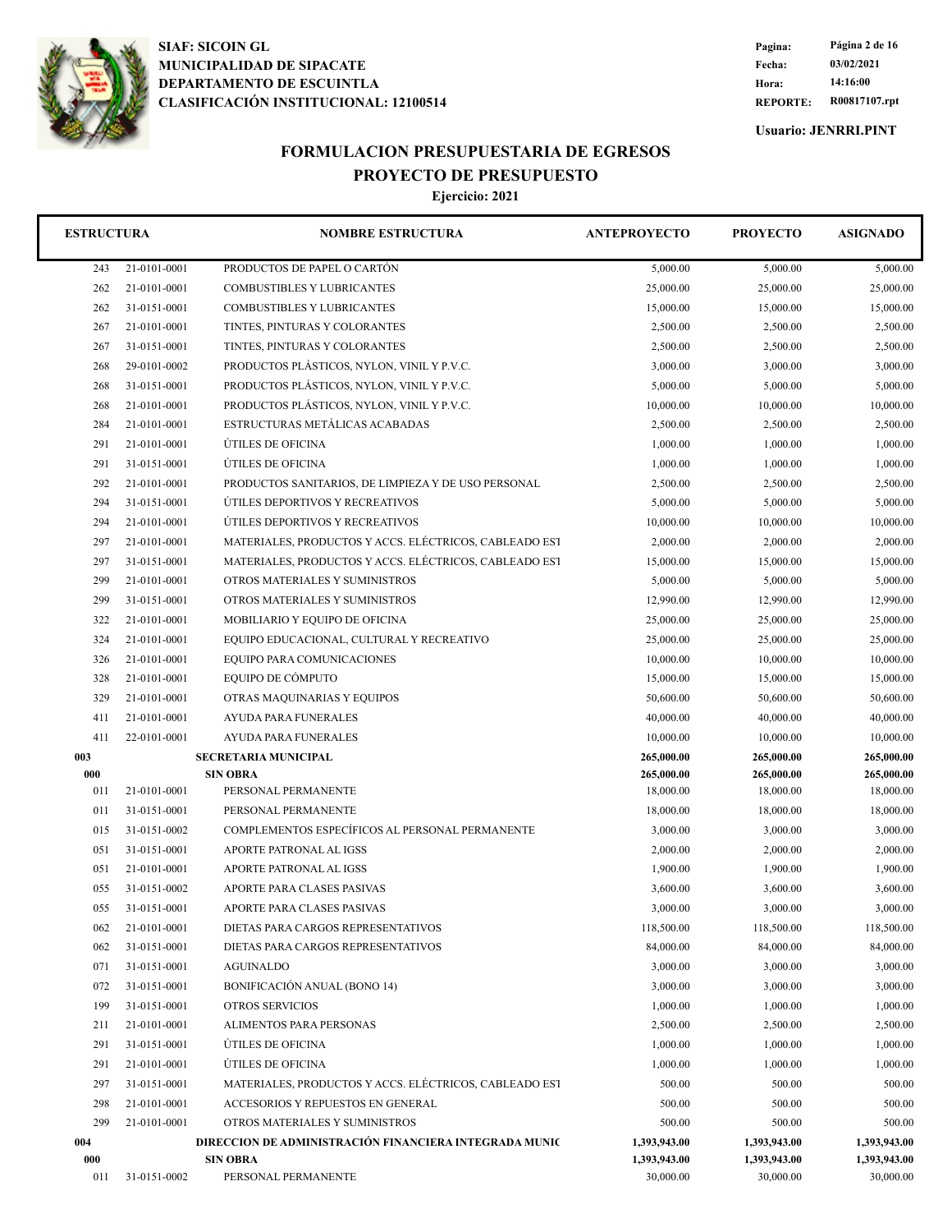

**REPORTE: R00817107.rpt Hora: 14:16:00 Fecha: 03/02/2021 Pagina: Página 2 de 16**

**Usuario: JENRRI.PINT**

## **FORMULACION PRESUPUESTARIA DE EGRESOS PROYECTO DE PRESUPUESTO**

| <b>ESTRUCTURA</b> |              | <b>NOMBRE ESTRUCTURA</b>                                                  | <b>ANTEPROYECTO</b>          | <b>PROYECTO</b>              | <b>ASIGNADO</b>              |
|-------------------|--------------|---------------------------------------------------------------------------|------------------------------|------------------------------|------------------------------|
| 243               | 21-0101-0001 | PRODUCTOS DE PAPEL O CARTÓN                                               | 5,000.00                     | 5,000.00                     | 5,000.00                     |
| 262               | 21-0101-0001 | COMBUSTIBLES Y LUBRICANTES                                                | 25,000.00                    | 25,000.00                    | 25,000.00                    |
| 262               | 31-0151-0001 | <b>COMBUSTIBLES Y LUBRICANTES</b>                                         | 15,000.00                    | 15,000.00                    | 15,000.00                    |
| 267               | 21-0101-0001 | TINTES, PINTURAS Y COLORANTES                                             | 2,500.00                     | 2,500.00                     | 2,500.00                     |
| 267               | 31-0151-0001 | TINTES, PINTURAS Y COLORANTES                                             | 2,500.00                     | 2,500.00                     | 2,500.00                     |
| 268               | 29-0101-0002 | PRODUCTOS PLÁSTICOS, NYLON, VINIL Y P.V.C.                                | 3,000.00                     | 3,000.00                     | 3,000.00                     |
| 268               | 31-0151-0001 | PRODUCTOS PLÁSTICOS, NYLON, VINIL Y P.V.C.                                | 5,000.00                     | 5,000.00                     | 5,000.00                     |
| 268               | 21-0101-0001 | PRODUCTOS PLÁSTICOS, NYLON, VINIL Y P.V.C.                                | 10,000.00                    | 10,000.00                    | 10,000.00                    |
| 284               | 21-0101-0001 | ESTRUCTURAS METÁLICAS ACABADAS                                            | 2,500.00                     | 2,500.00                     | 2,500.00                     |
| 291               | 21-0101-0001 | ÚTILES DE OFICINA                                                         | 1,000.00                     | 1,000.00                     | 1,000.00                     |
| 291               | 31-0151-0001 | ÚTILES DE OFICINA                                                         | 1,000.00                     | 1,000.00                     | 1,000.00                     |
| 292               | 21-0101-0001 | PRODUCTOS SANITARIOS, DE LIMPIEZA Y DE USO PERSONAL                       | 2,500.00                     | 2,500.00                     | 2,500.00                     |
| 294               | 31-0151-0001 | ÚTILES DEPORTIVOS Y RECREATIVOS                                           | 5,000.00                     | 5,000.00                     | 5,000.00                     |
| 294               | 21-0101-0001 | ÚTILES DEPORTIVOS Y RECREATIVOS                                           | 10,000.00                    | 10,000.00                    | 10,000.00                    |
| 297               | 21-0101-0001 | MATERIALES, PRODUCTOS Y ACCS. ELÉCTRICOS, CABLEADO EST                    | 2,000.00                     | 2,000.00                     | 2,000.00                     |
| 297               | 31-0151-0001 | MATERIALES, PRODUCTOS Y ACCS. ELÉCTRICOS, CABLEADO EST                    | 15,000.00                    | 15,000.00                    | 15,000.00                    |
| 299               | 21-0101-0001 | OTROS MATERIALES Y SUMINISTROS                                            | 5,000.00                     | 5,000.00                     | 5,000.00                     |
| 299               | 31-0151-0001 | OTROS MATERIALES Y SUMINISTROS                                            | 12,990.00                    | 12,990.00                    | 12,990.00                    |
| 322               | 21-0101-0001 | MOBILIARIO Y EQUIPO DE OFICINA                                            | 25,000.00                    | 25,000.00                    | 25,000.00                    |
| 324               | 21-0101-0001 | EQUIPO EDUCACIONAL, CULTURAL Y RECREATIVO                                 | 25,000.00                    | 25,000.00                    | 25,000.00                    |
| 326               | 21-0101-0001 | EQUIPO PARA COMUNICACIONES                                                | 10,000.00                    | 10,000.00                    | 10,000.00                    |
| 328               | 21-0101-0001 | EQUIPO DE CÓMPUTO                                                         | 15,000.00                    | 15,000.00                    | 15,000.00                    |
| 329               | 21-0101-0001 | OTRAS MAQUINARIAS Y EQUIPOS                                               | 50,600.00                    | 50,600.00                    | 50,600.00                    |
| 411               | 21-0101-0001 | <b>AYUDA PARA FUNERALES</b>                                               | 40,000.00                    | 40,000.00                    | 40,000.00                    |
| 411               | 22-0101-0001 | <b>AYUDA PARA FUNERALES</b>                                               | 10,000.00                    | 10,000.00                    | 10,000.00                    |
| 003               |              | <b>SECRETARIA MUNICIPAL</b>                                               | 265,000.00                   | 265,000.00                   | 265,000.00                   |
| 000               |              | <b>SIN OBRA</b>                                                           | 265,000.00                   | 265,000.00                   | 265,000.00                   |
| 011               | 21-0101-0001 | PERSONAL PERMANENTE                                                       | 18,000.00                    | 18,000.00                    | 18,000.00                    |
| 011               | 31-0151-0001 | PERSONAL PERMANENTE                                                       | 18,000.00                    | 18,000.00                    | 18,000.00                    |
| 015               | 31-0151-0002 | COMPLEMENTOS ESPECÍFICOS AL PERSONAL PERMANENTE                           | 3,000.00                     | 3,000.00                     | 3,000.00                     |
| 051               | 31-0151-0001 | APORTE PATRONAL AL IGSS                                                   | 2,000.00                     | 2,000.00                     | 2,000.00                     |
| 051               | 21-0101-0001 | APORTE PATRONAL AL IGSS                                                   | 1,900.00                     | 1,900.00                     | 1,900.00                     |
| 055               | 31-0151-0002 | APORTE PARA CLASES PASIVAS                                                | 3,600.00                     | 3,600.00                     | 3,600.00                     |
| 055               | 31-0151-0001 | APORTE PARA CLASES PASIVAS                                                | 3,000.00                     | 3,000.00                     | 3,000.00                     |
| 062               | 21-0101-0001 | DIETAS PARA CARGOS REPRESENTATIVOS                                        | 118,500.00                   | 118,500.00                   | 118,500.00                   |
| 062               | 31-0151-0001 | DIETAS PARA CARGOS REPRESENTATIVOS                                        | 84,000.00                    | 84,000.00                    | 84,000.00                    |
| 071               | 31-0151-0001 | <b>AGUINALDO</b>                                                          | 3,000.00                     | 3,000.00                     | 3,000.00                     |
| 072               | 31-0151-0001 | BONIFICACIÓN ANUAL (BONO 14)                                              | 3,000.00                     | 3,000.00                     | 3,000.00                     |
| 199               | 31-0151-0001 | OTROS SERVICIOS                                                           | 1,000.00                     | 1,000.00                     | 1,000.00                     |
| 211               | 21-0101-0001 | ALIMENTOS PARA PERSONAS                                                   | 2,500.00                     | 2,500.00                     | 2,500.00                     |
| 291               | 31-0151-0001 | ÚTILES DE OFICINA                                                         | 1,000.00                     | 1,000.00                     | 1,000.00                     |
| 291               | 21-0101-0001 | ÚTILES DE OFICINA                                                         | 1,000.00                     | 1,000.00                     | 1,000.00                     |
| 297               | 31-0151-0001 | MATERIALES, PRODUCTOS Y ACCS. ELÉCTRICOS, CABLEADO EST                    | 500.00                       | 500.00                       | 500.00                       |
| 298               | 21-0101-0001 | ACCESORIOS Y REPUESTOS EN GENERAL                                         | 500.00                       | 500.00                       | 500.00                       |
| 299               | 21-0101-0001 | OTROS MATERIALES Y SUMINISTROS                                            | 500.00                       | 500.00                       | 500.00                       |
| 004<br>000        |              | DIRECCION DE ADMINISTRACIÓN FINANCIERA INTEGRADA MUNIC<br><b>SIN OBRA</b> | 1,393,943.00<br>1,393,943.00 | 1,393,943.00<br>1,393,943.00 | 1,393,943.00<br>1,393,943.00 |
| 011               | 31-0151-0002 | PERSONAL PERMANENTE                                                       | 30,000.00                    | 30,000.00                    | 30,000.00                    |
|                   |              |                                                                           |                              |                              |                              |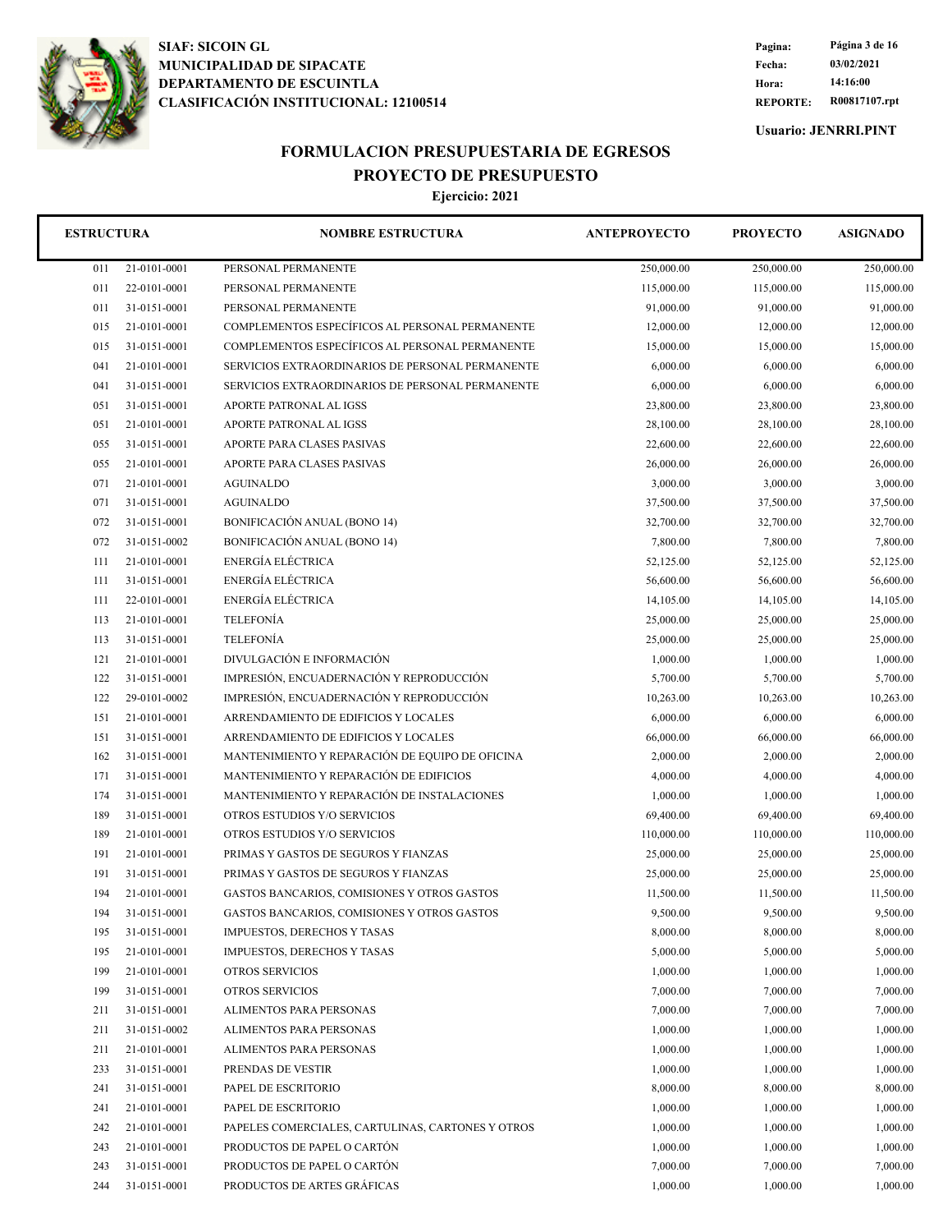

**REPORTE: R00817107.rpt Hora: 14:16:00 Fecha: 03/02/2021 Pagina: Página 3 de 16**

**Usuario: JENRRI.PINT**

## **FORMULACION PRESUPUESTARIA DE EGRESOS PROYECTO DE PRESUPUESTO**

| <b>ESTRUCTURA</b> |              | <b>NOMBRE ESTRUCTURA</b>                          | <b>ANTEPROYECTO</b> | <b>PROYECTO</b> | <b>ASIGNADO</b> |
|-------------------|--------------|---------------------------------------------------|---------------------|-----------------|-----------------|
| 011               | 21-0101-0001 | PERSONAL PERMANENTE                               | 250,000.00          | 250,000.00      | 250,000.00      |
| 011               | 22-0101-0001 | PERSONAL PERMANENTE                               | 115,000.00          | 115,000.00      | 115,000.00      |
| 011               | 31-0151-0001 | PERSONAL PERMANENTE                               | 91,000.00           | 91,000.00       | 91,000.00       |
| 015               | 21-0101-0001 | COMPLEMENTOS ESPECÍFICOS AL PERSONAL PERMANENTE   | 12,000.00           | 12,000.00       | 12,000.00       |
| 015               | 31-0151-0001 | COMPLEMENTOS ESPECÍFICOS AL PERSONAL PERMANENTE   | 15,000.00           | 15,000.00       | 15,000.00       |
| 041               | 21-0101-0001 | SERVICIOS EXTRAORDINARIOS DE PERSONAL PERMANENTE  | 6,000.00            | 6,000.00        | 6,000.00        |
| 041               | 31-0151-0001 | SERVICIOS EXTRAORDINARIOS DE PERSONAL PERMANENTE  | 6,000.00            | 6,000.00        | 6,000.00        |
| 051               | 31-0151-0001 | APORTE PATRONAL AL IGSS                           | 23,800.00           | 23,800.00       | 23,800.00       |
| 051               | 21-0101-0001 | APORTE PATRONAL AL IGSS                           | 28,100.00           | 28,100.00       | 28,100.00       |
| 055               | 31-0151-0001 | APORTE PARA CLASES PASIVAS                        | 22,600.00           | 22,600.00       | 22,600.00       |
| 055               | 21-0101-0001 | APORTE PARA CLASES PASIVAS                        | 26,000.00           | 26,000.00       | 26,000.00       |
| 071               | 21-0101-0001 | <b>AGUINALDO</b>                                  | 3,000.00            | 3,000.00        | 3,000.00        |
| 071               | 31-0151-0001 | <b>AGUINALDO</b>                                  | 37,500.00           | 37,500.00       | 37,500.00       |
| 072               | 31-0151-0001 | BONIFICACIÓN ANUAL (BONO 14)                      | 32,700.00           | 32,700.00       | 32,700.00       |
| 072               | 31-0151-0002 | BONIFICACIÓN ANUAL (BONO 14)                      | 7,800.00            | 7,800.00        | 7,800.00        |
| 111               | 21-0101-0001 | ENERGÍA ELÉCTRICA                                 | 52,125.00           | 52,125.00       | 52,125.00       |
| 111               | 31-0151-0001 | ENERGÍA ELÉCTRICA                                 | 56,600.00           | 56,600.00       | 56,600.00       |
| 111               | 22-0101-0001 | ENERGÍA ELÉCTRICA                                 | 14,105.00           | 14,105.00       | 14,105.00       |
| 113               | 21-0101-0001 | <b>TELEFONÍA</b>                                  | 25,000.00           | 25,000.00       | 25,000.00       |
| 113               | 31-0151-0001 | <b>TELEFONÍA</b>                                  | 25,000.00           | 25,000.00       | 25,000.00       |
| 121               | 21-0101-0001 | DIVULGACIÓN E INFORMACIÓN                         | 1,000.00            | 1,000.00        | 1,000.00        |
| 122               | 31-0151-0001 | IMPRESIÓN, ENCUADERNACIÓN Y REPRODUCCIÓN          | 5,700.00            | 5,700.00        | 5,700.00        |
| 122               | 29-0101-0002 | IMPRESIÓN, ENCUADERNACIÓN Y REPRODUCCIÓN          | 10,263.00           | 10,263.00       | 10,263.00       |
| 151               | 21-0101-0001 | ARRENDAMIENTO DE EDIFICIOS Y LOCALES              | 6,000.00            | 6,000.00        | 6,000.00        |
| 151               | 31-0151-0001 | ARRENDAMIENTO DE EDIFICIOS Y LOCALES              | 66,000.00           | 66,000.00       | 66,000.00       |
| 162               | 31-0151-0001 | MANTENIMIENTO Y REPARACIÓN DE EQUIPO DE OFICINA   | 2,000.00            | 2,000.00        | 2,000.00        |
| 171               | 31-0151-0001 | MANTENIMIENTO Y REPARACIÓN DE EDIFICIOS           | 4,000.00            | 4,000.00        | 4,000.00        |
| 174               | 31-0151-0001 | MANTENIMIENTO Y REPARACIÓN DE INSTALACIONES       | 1,000.00            | 1,000.00        | 1,000.00        |
| 189               | 31-0151-0001 | OTROS ESTUDIOS Y/O SERVICIOS                      | 69,400.00           | 69,400.00       | 69,400.00       |
| 189               | 21-0101-0001 | OTROS ESTUDIOS Y/O SERVICIOS                      | 110,000.00          | 110,000.00      | 110,000.00      |
| 191               | 21-0101-0001 | PRIMAS Y GASTOS DE SEGUROS Y FIANZAS              | 25,000.00           | 25,000.00       | 25,000.00       |
| 191               | 31-0151-0001 | PRIMAS Y GASTOS DE SEGUROS Y FIANZAS              | 25,000.00           | 25,000.00       | 25,000.00       |
| 194               | 21-0101-0001 | GASTOS BANCARIOS, COMISIONES Y OTROS GASTOS       | 11,500.00           | 11,500.00       | 11,500.00       |
| 194               | 31-0151-0001 | GASTOS BANCARIOS, COMISIONES Y OTROS GASTOS       | 9,500.00            | 9,500.00        | 9,500.00        |
| 195               | 31-0151-0001 | <b>IMPUESTOS, DERECHOS Y TASAS</b>                | 8,000.00            | 8,000.00        | 8,000.00        |
| 195               | 21-0101-0001 | <b>IMPUESTOS, DERECHOS Y TASAS</b>                | 5,000.00            | 5,000.00        | 5,000.00        |
| 199               | 21-0101-0001 | OTROS SERVICIOS                                   | 1,000.00            | 1,000.00        | 1,000.00        |
| 199               | 31-0151-0001 | OTROS SERVICIOS                                   | 7,000.00            | 7,000.00        | 7,000.00        |
| 211               | 31-0151-0001 | ALIMENTOS PARA PERSONAS                           | 7,000.00            | 7,000.00        | 7,000.00        |
| 211               | 31-0151-0002 | ALIMENTOS PARA PERSONAS                           | 1,000.00            | 1,000.00        | 1,000.00        |
| 211               | 21-0101-0001 | ALIMENTOS PARA PERSONAS                           | 1,000.00            | 1,000.00        | 1,000.00        |
| 233               | 31-0151-0001 | PRENDAS DE VESTIR                                 | 1,000.00            | 1,000.00        | 1,000.00        |
| 241               | 31-0151-0001 | PAPEL DE ESCRITORIO                               | 8,000.00            | 8,000.00        | 8,000.00        |
| 241               | 21-0101-0001 | PAPEL DE ESCRITORIO                               | 1,000.00            | 1,000.00        | 1,000.00        |
| 242               | 21-0101-0001 | PAPELES COMERCIALES, CARTULINAS, CARTONES Y OTROS | 1,000.00            | 1,000.00        | 1,000.00        |
| 243               | 21-0101-0001 | PRODUCTOS DE PAPEL O CARTÓN                       | 1,000.00            | 1,000.00        | 1,000.00        |
| 243               | 31-0151-0001 | PRODUCTOS DE PAPEL O CARTÓN                       | 7,000.00            | 7,000.00        | 7,000.00        |
| 244               | 31-0151-0001 | PRODUCTOS DE ARTES GRÁFICAS                       | 1,000.00            | 1,000.00        | 1,000.00        |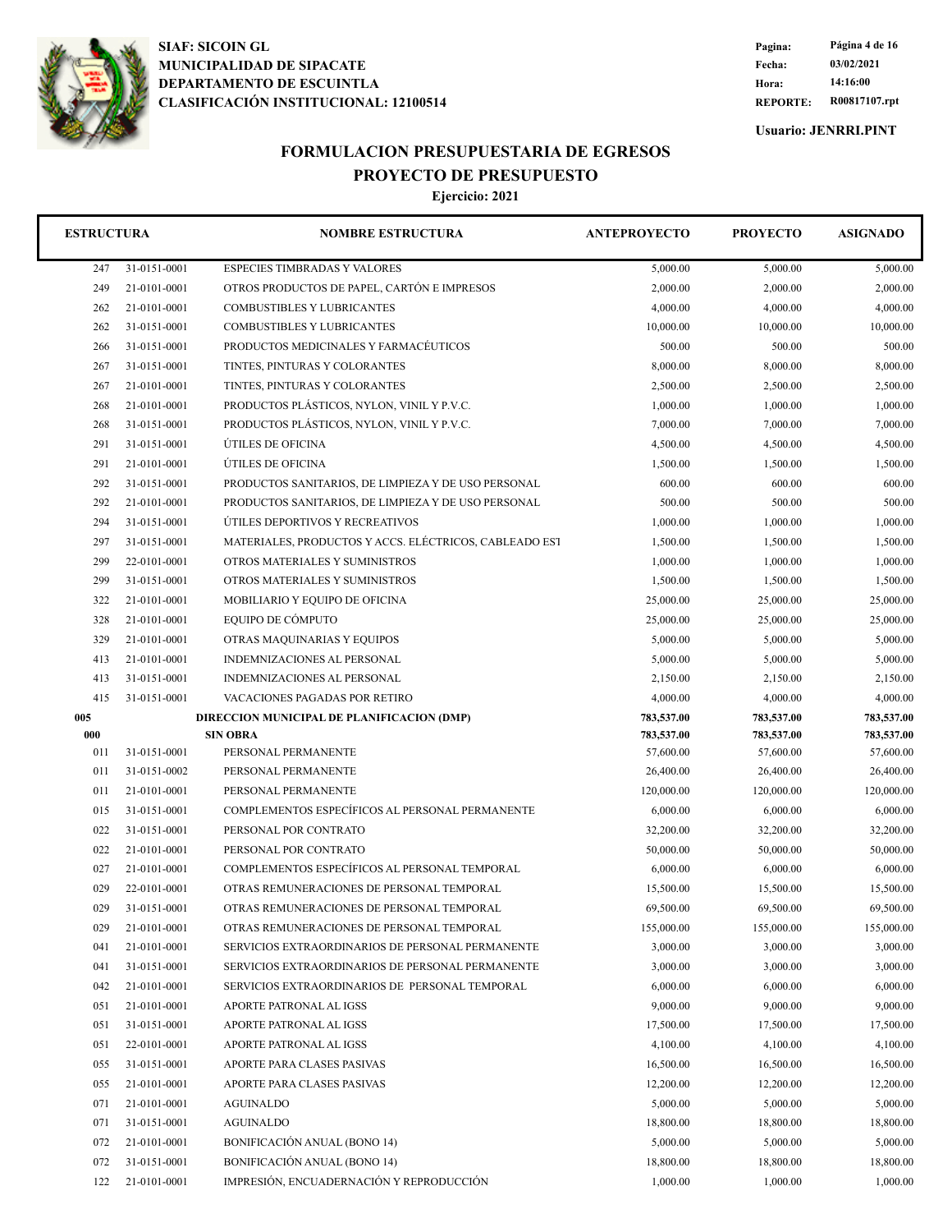

**REPORTE: R00817107.rpt Hora: 14:16:00 Fecha: 03/02/2021 Pagina: Página 4 de 16**

**Usuario: JENRRI.PINT**

## **FORMULACION PRESUPUESTARIA DE EGRESOS PROYECTO DE PRESUPUESTO**

| <b>ESTRUCTURA</b> |              | <b>NOMBRE ESTRUCTURA</b>                               | <b>ANTEPROYECTO</b> | <b>PROYECTO</b> | <b>ASIGNADO</b> |
|-------------------|--------------|--------------------------------------------------------|---------------------|-----------------|-----------------|
| 247               | 31-0151-0001 | <b>ESPECIES TIMBRADAS Y VALORES</b>                    | 5,000.00            | 5,000.00        | 5,000.00        |
| 249               | 21-0101-0001 | OTROS PRODUCTOS DE PAPEL, CARTÓN E IMPRESOS            | 2,000.00            | 2,000.00        | 2,000.00        |
| 262               | 21-0101-0001 | <b>COMBUSTIBLES Y LUBRICANTES</b>                      | 4,000.00            | 4,000.00        | 4,000.00        |
| 262               | 31-0151-0001 | <b>COMBUSTIBLES Y LUBRICANTES</b>                      | 10,000.00           | 10,000.00       | 10,000.00       |
| 266               | 31-0151-0001 | PRODUCTOS MEDICINALES Y FARMACEUTICOS                  | 500.00              | 500.00          | 500.00          |
| 267               | 31-0151-0001 | TINTES, PINTURAS Y COLORANTES                          | 8,000.00            | 8,000.00        | 8,000.00        |
| 267               | 21-0101-0001 | TINTES, PINTURAS Y COLORANTES                          | 2,500.00            | 2,500.00        | 2,500.00        |
| 268               | 21-0101-0001 | PRODUCTOS PLÁSTICOS, NYLON, VINIL Y P.V.C.             | 1,000.00            | 1,000.00        | 1,000.00        |
| 268               | 31-0151-0001 | PRODUCTOS PLÁSTICOS, NYLON, VINIL Y P.V.C.             | 7,000.00            | 7,000.00        | 7,000.00        |
| 291               | 31-0151-0001 | ÚTILES DE OFICINA                                      | 4,500.00            | 4,500.00        | 4,500.00        |
| 291               | 21-0101-0001 | ÚTILES DE OFICINA                                      | 1,500.00            | 1,500.00        | 1,500.00        |
| 292               | 31-0151-0001 | PRODUCTOS SANITARIOS, DE LIMPIEZA Y DE USO PERSONAL    | 600.00              | 600.00          | 600.00          |
| 292               | 21-0101-0001 | PRODUCTOS SANITARIOS, DE LIMPIEZA Y DE USO PERSONAL    | 500.00              | 500.00          | 500.00          |
| 294               | 31-0151-0001 | ÚTILES DEPORTIVOS Y RECREATIVOS                        | 1,000.00            | 1,000.00        | 1,000.00        |
| 297               | 31-0151-0001 | MATERIALES, PRODUCTOS Y ACCS. ELÉCTRICOS, CABLEADO EST | 1,500.00            | 1,500.00        | 1,500.00        |
| 299               | 22-0101-0001 | OTROS MATERIALES Y SUMINISTROS                         | 1,000.00            | 1,000.00        | 1,000.00        |
| 299               | 31-0151-0001 | OTROS MATERIALES Y SUMINISTROS                         | 1,500.00            | 1,500.00        | 1,500.00        |
| 322               | 21-0101-0001 | MOBILIARIO Y EQUIPO DE OFICINA                         | 25,000.00           | 25,000.00       | 25,000.00       |
| 328               | 21-0101-0001 | EQUIPO DE CÓMPUTO                                      | 25,000.00           | 25,000.00       | 25,000.00       |
| 329               | 21-0101-0001 | OTRAS MAQUINARIAS Y EQUIPOS                            | 5,000.00            | 5,000.00        | 5,000.00        |
| 413               | 21-0101-0001 | INDEMNIZACIONES AL PERSONAL                            | 5,000.00            | 5,000.00        | 5,000.00        |
| 413               | 31-0151-0001 | INDEMNIZACIONES AL PERSONAL                            | 2,150.00            | 2,150.00        | 2,150.00        |
| 415               | 31-0151-0001 | VACACIONES PAGADAS POR RETIRO                          | 4,000.00            | 4,000.00        | 4,000.00        |
| 005               |              | DIRECCION MUNICIPAL DE PLANIFICACION (DMP)             | 783,537.00          | 783,537.00      | 783,537.00      |
| 000               |              | <b>SIN OBRA</b>                                        | 783,537.00          | 783,537.00      | 783,537.00      |
| 011               | 31-0151-0001 | PERSONAL PERMANENTE                                    | 57,600.00           | 57,600.00       | 57,600.00       |
| 011               | 31-0151-0002 | PERSONAL PERMANENTE                                    | 26,400.00           | 26,400.00       | 26,400.00       |
| 011               | 21-0101-0001 | PERSONAL PERMANENTE                                    | 120,000.00          | 120,000.00      | 120,000.00      |
| 015               | 31-0151-0001 | COMPLEMENTOS ESPECÍFICOS AL PERSONAL PERMANENTE        | 6,000.00            | 6,000.00        | 6,000.00        |
| 022               | 31-0151-0001 | PERSONAL POR CONTRATO                                  | 32,200.00           | 32,200.00       | 32,200.00       |
| 022               | 21-0101-0001 | PERSONAL POR CONTRATO                                  | 50,000.00           | 50,000.00       | 50,000.00       |
| 027               | 21-0101-0001 | COMPLEMENTOS ESPECÍFICOS AL PERSONAL TEMPORAL          | 6,000.00            | 6,000.00        | 6,000.00        |
| 029               | 22-0101-0001 | OTRAS REMUNERACIONES DE PERSONAL TEMPORAL              | 15,500.00           | 15,500.00       | 15,500.00       |
| 029               | 31-0151-0001 | OTRAS REMUNERACIONES DE PERSONAL TEMPORAL              | 69,500.00           | 69,500.00       | 69,500.00       |
| 029               | 21-0101-0001 | OTRAS REMUNERACIONES DE PERSONAL TEMPORAL              | 155,000.00          | 155,000.00      | 155,000.00      |
| 041               | 21-0101-0001 | SERVICIOS EXTRAORDINARIOS DE PERSONAL PERMANENTE       | 3,000.00            | 3,000.00        | 3,000.00        |
| 041               | 31-0151-0001 | SERVICIOS EXTRAORDINARIOS DE PERSONAL PERMANENTE       | 3,000.00            | 3,000.00        | 3,000.00        |
| 042               | 21-0101-0001 | SERVICIOS EXTRAORDINARIOS DE PERSONAL TEMPORAL         | 6,000.00            | 6,000.00        | 6,000.00        |
| 051               | 21-0101-0001 | APORTE PATRONAL AL IGSS                                | 9,000.00            | 9,000.00        | 9,000.00        |
| 051               | 31-0151-0001 | APORTE PATRONAL AL IGSS                                | 17,500.00           | 17,500.00       | 17,500.00       |
| 051               | 22-0101-0001 | APORTE PATRONAL AL IGSS                                | 4,100.00            | 4,100.00        | 4,100.00        |
| 055               | 31-0151-0001 | APORTE PARA CLASES PASIVAS                             | 16,500.00           | 16,500.00       | 16,500.00       |
| 055               | 21-0101-0001 | APORTE PARA CLASES PASIVAS                             | 12,200.00           | 12,200.00       | 12,200.00       |
| 071               | 21-0101-0001 | AGUINALDO                                              | 5,000.00            | 5,000.00        | 5,000.00        |
| 071               | 31-0151-0001 | <b>AGUINALDO</b>                                       | 18,800.00           | 18,800.00       | 18,800.00       |
| 072               | 21-0101-0001 | <b>BONIFICACIÓN ANUAL (BONO 14)</b>                    | 5,000.00            | 5,000.00        | 5,000.00        |
| 072               | 31-0151-0001 | <b>BONIFICACIÓN ANUAL (BONO 14)</b>                    | 18,800.00           | 18,800.00       | 18,800.00       |
| 122               | 21-0101-0001 | IMPRESIÓN, ENCUADERNACIÓN Y REPRODUCCIÓN               | 1,000.00            | 1,000.00        | 1,000.00        |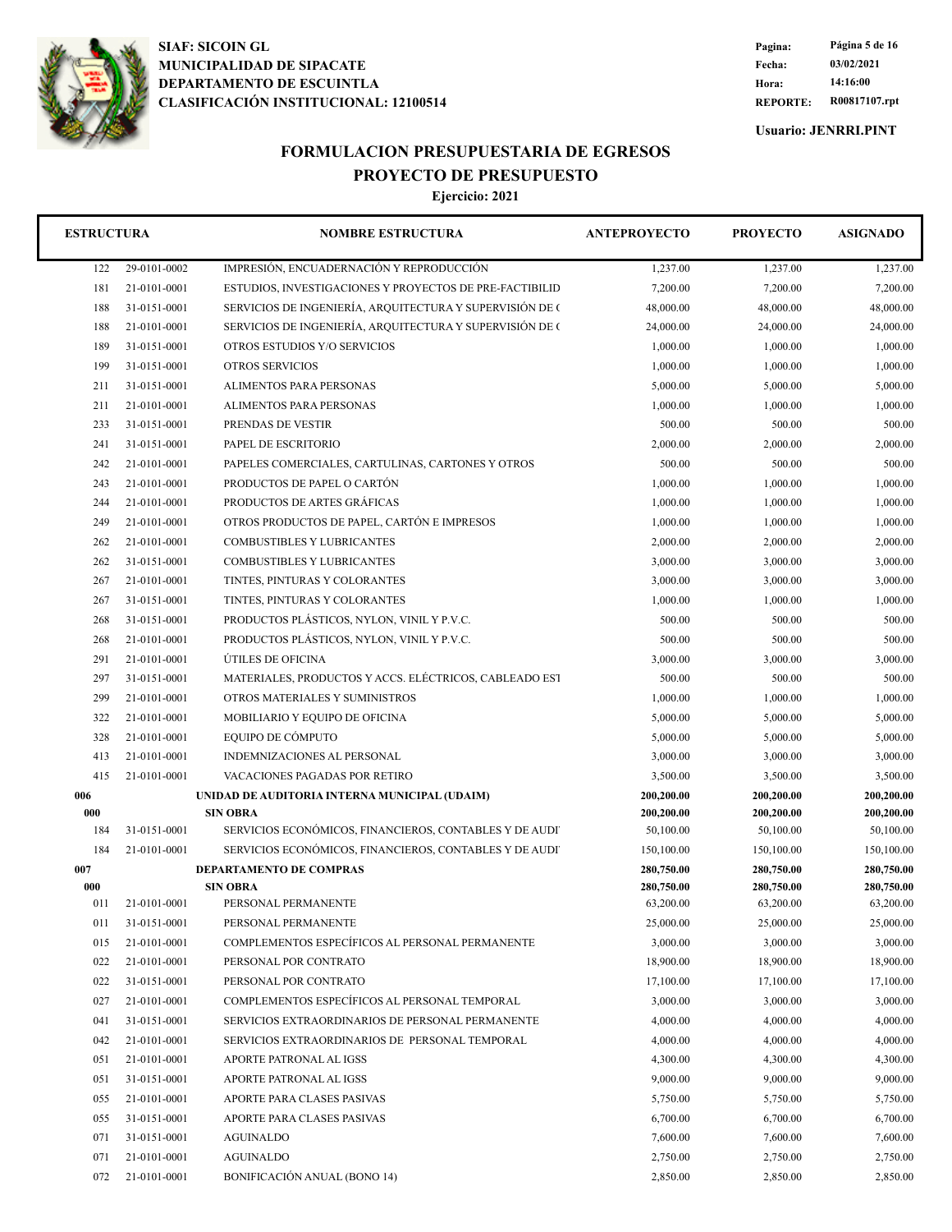

**REPORTE: R00817107.rpt Hora: 14:16:00 Fecha: 03/02/2021 Pagina: Página 5 de 16**

**Usuario: JENRRI.PINT**

# **FORMULACION PRESUPUESTARIA DE EGRESOS PROYECTO DE PRESUPUESTO**

| <b>ESTRUCTURA</b> |              | <b>NOMBRE ESTRUCTURA</b>                                 | <b>ANTEPROYECTO</b>      | <b>PROYECTO</b>          | <b>ASIGNADO</b>          |
|-------------------|--------------|----------------------------------------------------------|--------------------------|--------------------------|--------------------------|
| 122               | 29-0101-0002 | IMPRESIÓN, ENCUADERNACIÓN Y REPRODUCCIÓN                 | 1,237.00                 | 1,237.00                 | 1,237.00                 |
| 181               | 21-0101-0001 | ESTUDIOS, INVESTIGACIONES Y PROYECTOS DE PRE-FACTIBILID  | 7,200.00                 | 7,200.00                 | 7,200.00                 |
| 188               | 31-0151-0001 | SERVICIOS DE INGENIERÍA, ARQUITECTURA Y SUPERVISIÓN DE O | 48,000.00                | 48,000.00                | 48,000.00                |
| 188               | 21-0101-0001 | SERVICIOS DE INGENIERÍA, ARQUITECTURA Y SUPERVISIÓN DE O | 24,000.00                | 24,000.00                | 24,000.00                |
| 189               | 31-0151-0001 | OTROS ESTUDIOS Y/O SERVICIOS                             | 1,000.00                 | 1,000.00                 | 1,000.00                 |
| 199               | 31-0151-0001 | <b>OTROS SERVICIOS</b>                                   | 1,000.00                 | 1,000.00                 | 1,000.00                 |
| 211               | 31-0151-0001 | ALIMENTOS PARA PERSONAS                                  | 5,000.00                 | 5,000.00                 | 5,000.00                 |
| 211               | 21-0101-0001 | <b>ALIMENTOS PARA PERSONAS</b>                           | 1,000.00                 | 1,000.00                 | 1,000.00                 |
| 233               | 31-0151-0001 | PRENDAS DE VESTIR                                        | 500.00                   | 500.00                   | 500.00                   |
| 241               | 31-0151-0001 | PAPEL DE ESCRITORIO                                      | 2,000.00                 | 2,000.00                 | 2,000.00                 |
| 242               | 21-0101-0001 | PAPELES COMERCIALES, CARTULINAS, CARTONES Y OTROS        | 500.00                   | 500.00                   | 500.00                   |
| 243               | 21-0101-0001 | PRODUCTOS DE PAPEL O CARTÓN                              | 1,000.00                 | 1,000.00                 | 1,000.00                 |
| 244               | 21-0101-0001 | PRODUCTOS DE ARTES GRÁFICAS                              | 1,000.00                 | 1,000.00                 | 1,000.00                 |
| 249               | 21-0101-0001 | OTROS PRODUCTOS DE PAPEL, CARTÓN E IMPRESOS              | 1,000.00                 | 1,000.00                 | 1,000.00                 |
| 262               | 21-0101-0001 | <b>COMBUSTIBLES Y LUBRICANTES</b>                        | 2,000.00                 | 2,000.00                 | 2,000.00                 |
| 262               | 31-0151-0001 | <b>COMBUSTIBLES Y LUBRICANTES</b>                        | 3,000.00                 | 3,000.00                 | 3,000.00                 |
| 267               | 21-0101-0001 | TINTES, PINTURAS Y COLORANTES                            | 3,000.00                 | 3,000.00                 | 3,000.00                 |
| 267               | 31-0151-0001 | TINTES, PINTURAS Y COLORANTES                            | 1,000.00                 | 1,000.00                 | 1,000.00                 |
| 268               | 31-0151-0001 | PRODUCTOS PLÁSTICOS, NYLON, VINIL Y P.V.C.               | 500.00                   | 500.00                   | 500.00                   |
| 268               | 21-0101-0001 | PRODUCTOS PLÁSTICOS, NYLON, VINIL Y P.V.C.               | 500.00                   | 500.00                   | 500.00                   |
| 291               | 21-0101-0001 | ÚTILES DE OFICINA                                        | 3,000.00                 | 3,000.00                 | 3,000.00                 |
| 297               | 31-0151-0001 | MATERIALES, PRODUCTOS Y ACCS. ELÉCTRICOS, CABLEADO EST   | 500.00                   | 500.00                   | 500.00                   |
| 299               | 21-0101-0001 | OTROS MATERIALES Y SUMINISTROS                           | 1,000.00                 | 1,000.00                 | 1,000.00                 |
| 322               | 21-0101-0001 | MOBILIARIO Y EQUIPO DE OFICINA                           | 5,000.00                 | 5,000.00                 | 5,000.00                 |
| 328               | 21-0101-0001 | EQUIPO DE CÓMPUTO                                        | 5,000.00                 | 5,000.00                 | 5,000.00                 |
| 413               | 21-0101-0001 | INDEMNIZACIONES AL PERSONAL                              | 3,000.00                 | 3,000.00                 | 3,000.00                 |
| 415               | 21-0101-0001 | VACACIONES PAGADAS POR RETIRO                            | 3,500.00                 | 3,500.00                 | 3,500.00                 |
| 006               |              | UNIDAD DE AUDITORIA INTERNA MUNICIPAL (UDAIM)            | 200,200.00               | 200,200.00               | 200,200.00               |
| 000               |              | <b>SIN OBRA</b>                                          | 200,200.00               | 200,200.00               | 200,200.00               |
| 184               | 31-0151-0001 | SERVICIOS ECONÓMICOS, FINANCIEROS, CONTABLES Y DE AUDI   | 50,100.00                | 50,100.00                | 50,100.00                |
| 184               | 21-0101-0001 | SERVICIOS ECONÓMICOS, FINANCIEROS, CONTABLES Y DE AUDI   | 150,100.00               | 150,100.00               | 150,100.00               |
| 007<br>000        |              | DEPARTAMENTO DE COMPRAS<br><b>SIN OBRA</b>               | 280,750.00<br>280,750.00 | 280,750.00<br>280,750.00 | 280,750.00<br>280,750.00 |
| 011               | 21-0101-0001 | PERSONAL PERMANENTE                                      | 63,200.00                | 63,200.00                | 63,200.00                |
| 011               | 31-0151-0001 | PERSONAL PERMANENTE                                      | 25,000.00                | 25,000.00                | 25,000.00                |
| 015               | 21-0101-0001 | COMPLEMENTOS ESPECÍFICOS AL PERSONAL PERMANENTE          | 3,000.00                 | 3,000.00                 | 3,000.00                 |
| 022               | 21-0101-0001 | PERSONAL POR CONTRATO                                    | 18,900.00                | 18,900.00                | 18,900.00                |
| 022               | 31-0151-0001 | PERSONAL POR CONTRATO                                    | 17,100.00                | 17,100.00                | 17,100.00                |
| 027               | 21-0101-0001 | COMPLEMENTOS ESPECÍFICOS AL PERSONAL TEMPORAL            | 3,000.00                 | 3,000.00                 | 3,000.00                 |
| 041               | 31-0151-0001 | SERVICIOS EXTRAORDINARIOS DE PERSONAL PERMANENTE         | 4,000.00                 | 4,000.00                 | 4,000.00                 |
| 042               | 21-0101-0001 | SERVICIOS EXTRAORDINARIOS DE PERSONAL TEMPORAL           | 4,000.00                 | 4,000.00                 | 4,000.00                 |
| 051               | 21-0101-0001 | APORTE PATRONAL AL IGSS                                  | 4,300.00                 | 4,300.00                 | 4,300.00                 |
| 051               | 31-0151-0001 | APORTE PATRONAL AL IGSS                                  | 9,000.00                 | 9,000.00                 | 9,000.00                 |
| 055               | 21-0101-0001 | APORTE PARA CLASES PASIVAS                               | 5,750.00                 | 5,750.00                 | 5,750.00                 |
| 055               | 31-0151-0001 | APORTE PARA CLASES PASIVAS                               | 6,700.00                 | 6,700.00                 | 6,700.00                 |
| 071               | 31-0151-0001 | AGUINALDO                                                | 7,600.00                 | 7,600.00                 | 7,600.00                 |
| 071               | 21-0101-0001 | AGUINALDO                                                | 2,750.00                 | 2,750.00                 | 2,750.00                 |
| 072               | 21-0101-0001 | BONIFICACIÓN ANUAL (BONO 14)                             | 2,850.00                 | 2,850.00                 | 2,850.00                 |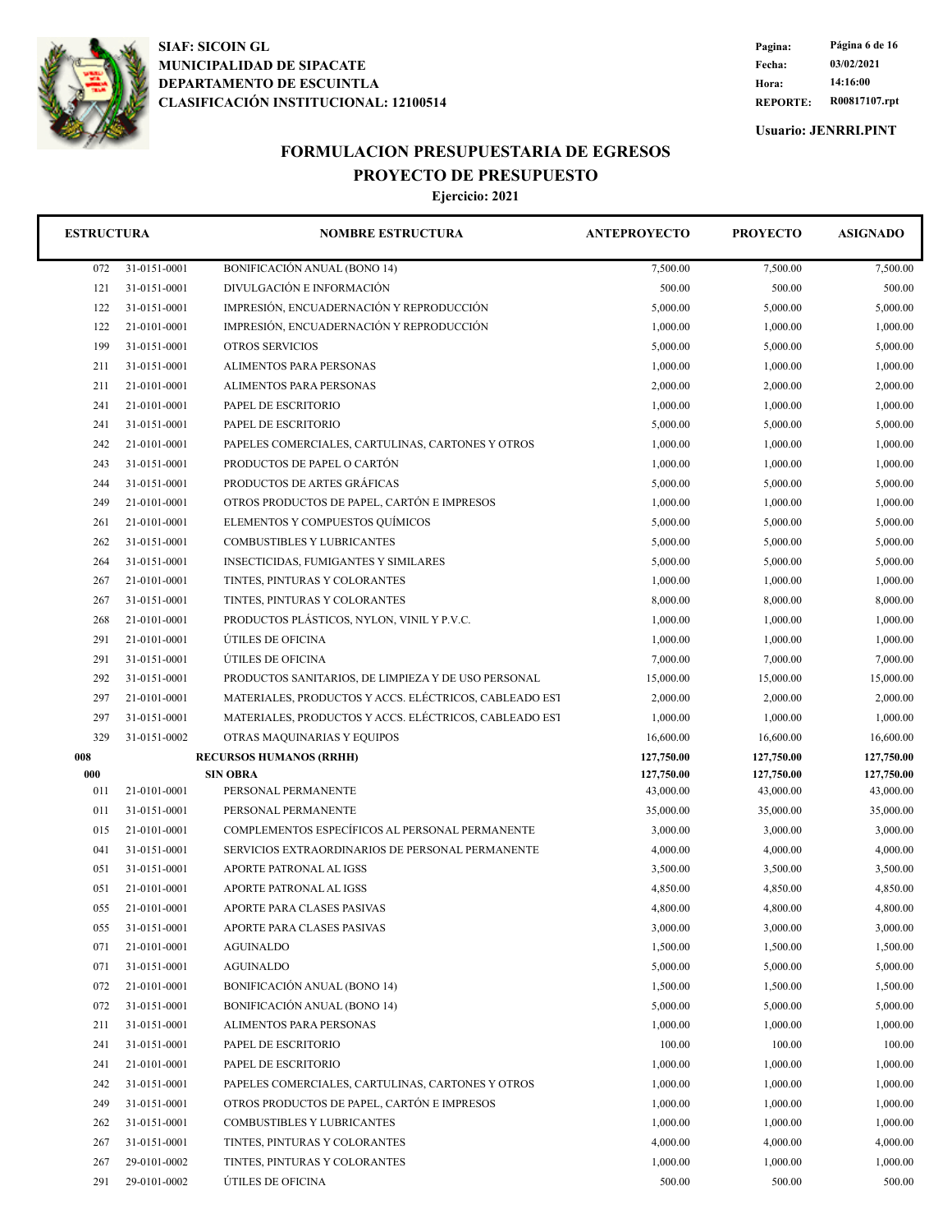

**REPORTE: R00817107.rpt Hora: 14:16:00 Fecha: 03/02/2021 Pagina: Página 6 de 16**

**Usuario: JENRRI.PINT**

## **FORMULACION PRESUPUESTARIA DE EGRESOS PROYECTO DE PRESUPUESTO**

| <b>ESTRUCTURA</b> |              | <b>NOMBRE ESTRUCTURA</b>                               | <b>ANTEPROYECTO</b> | <b>PROYECTO</b> | <b>ASIGNADO</b> |
|-------------------|--------------|--------------------------------------------------------|---------------------|-----------------|-----------------|
| 072               | 31-0151-0001 | BONIFICACIÓN ANUAL (BONO 14)                           | 7,500.00            | 7,500.00        | 7,500.00        |
| 121               | 31-0151-0001 | DIVULGACIÓN E INFORMACIÓN                              | 500.00              | 500.00          | 500.00          |
| 122               | 31-0151-0001 | IMPRESIÓN, ENCUADERNACIÓN Y REPRODUCCIÓN               | 5,000.00            | 5,000.00        | 5,000.00        |
| 122               | 21-0101-0001 | IMPRESIÓN, ENCUADERNACIÓN Y REPRODUCCIÓN               | 1,000.00            | 1,000.00        | 1,000.00        |
| 199               | 31-0151-0001 | <b>OTROS SERVICIOS</b>                                 | 5,000.00            | 5,000.00        | 5,000.00        |
| 211               | 31-0151-0001 | ALIMENTOS PARA PERSONAS                                | 1,000.00            | 1,000.00        | 1,000.00        |
| 211               | 21-0101-0001 | ALIMENTOS PARA PERSONAS                                | 2,000.00            | 2,000.00        | 2,000.00        |
| 241               | 21-0101-0001 | PAPEL DE ESCRITORIO                                    | 1,000.00            | 1,000.00        | 1,000.00        |
| 241               | 31-0151-0001 | PAPEL DE ESCRITORIO                                    | 5,000.00            | 5,000.00        | 5,000.00        |
| 242               | 21-0101-0001 | PAPELES COMERCIALES, CARTULINAS, CARTONES Y OTROS      | 1,000.00            | 1,000.00        | 1,000.00        |
| 243               | 31-0151-0001 | PRODUCTOS DE PAPEL O CARTÓN                            | 1,000.00            | 1,000.00        | 1,000.00        |
| 244               | 31-0151-0001 | PRODUCTOS DE ARTES GRÁFICAS                            | 5,000.00            | 5,000.00        | 5,000.00        |
| 249               | 21-0101-0001 | OTROS PRODUCTOS DE PAPEL, CARTÓN E IMPRESOS            | 1,000.00            | 1,000.00        | 1,000.00        |
| 261               | 21-0101-0001 | ELEMENTOS Y COMPUESTOS QUÍMICOS                        | 5,000.00            | 5,000.00        | 5,000.00        |
| 262               | 31-0151-0001 | <b>COMBUSTIBLES Y LUBRICANTES</b>                      | 5,000.00            | 5,000.00        | 5,000.00        |
| 264               | 31-0151-0001 | <b>INSECTICIDAS, FUMIGANTES Y SIMILARES</b>            | 5,000.00            | 5,000.00        | 5,000.00        |
| 267               | 21-0101-0001 | TINTES, PINTURAS Y COLORANTES                          | 1,000.00            | 1,000.00        | 1,000.00        |
| 267               | 31-0151-0001 | TINTES, PINTURAS Y COLORANTES                          | 8,000.00            | 8,000.00        | 8,000.00        |
| 268               | 21-0101-0001 | PRODUCTOS PLÁSTICOS, NYLON, VINIL Y P.V.C.             | 1,000.00            | 1,000.00        | 1,000.00        |
| 291               | 21-0101-0001 | ÚTILES DE OFICINA                                      | 1,000.00            | 1,000.00        | 1,000.00        |
| 291               | 31-0151-0001 | ÚTILES DE OFICINA                                      | 7,000.00            | 7,000.00        | 7,000.00        |
| 292               | 31-0151-0001 | PRODUCTOS SANITARIOS, DE LIMPIEZA Y DE USO PERSONAL    | 15,000.00           | 15,000.00       | 15,000.00       |
| 297               | 21-0101-0001 | MATERIALES, PRODUCTOS Y ACCS. ELÉCTRICOS, CABLEADO EST | 2,000.00            | 2,000.00        | 2,000.00        |
| 297               | 31-0151-0001 | MATERIALES, PRODUCTOS Y ACCS. ELÉCTRICOS, CABLEADO EST | 1,000.00            | 1,000.00        | 1,000.00        |
| 329               | 31-0151-0002 | OTRAS MAQUINARIAS Y EQUIPOS                            | 16,600.00           | 16,600.00       | 16,600.00       |
| 008               |              | <b>RECURSOS HUMANOS (RRHH)</b>                         | 127,750.00          | 127,750.00      | 127,750.00      |
| 000               |              | <b>SIN OBRA</b>                                        | 127,750.00          | 127,750.00      | 127,750.00      |
| 011               | 21-0101-0001 | PERSONAL PERMANENTE                                    | 43,000.00           | 43,000.00       | 43,000.00       |
| 011               | 31-0151-0001 | PERSONAL PERMANENTE                                    | 35,000.00           | 35,000.00       | 35,000.00       |
| 015               | 21-0101-0001 | COMPLEMENTOS ESPECÍFICOS AL PERSONAL PERMANENTE        | 3,000.00            | 3,000.00        | 3,000.00        |
| 041               | 31-0151-0001 | SERVICIOS EXTRAORDINARIOS DE PERSONAL PERMANENTE       | 4,000.00            | 4,000.00        | 4,000.00        |
| 051               | 31-0151-0001 | APORTE PATRONAL AL IGSS                                | 3,500.00            | 3,500.00        | 3,500.00        |
| 051               | 21-0101-0001 | APORTE PATRONAL AL IGSS                                | 4,850.00            | 4,850.00        | 4,850.00        |
| 055               | 21-0101-0001 | APORTE PARA CLASES PASIVAS                             | 4,800.00            | 4,800.00        | 4,800.00        |
| 055               | 31-0151-0001 | APORTE PARA CLASES PASIVAS                             | 3,000.00            | 3,000.00        | 3,000.00        |
| 071               | 21-0101-0001 | AGUINALDO                                              | 1,500.00            | 1,500.00        | 1,500.00        |
| 071               | 31-0151-0001 | <b>AGUINALDO</b>                                       | 5,000.00            | 5,000.00        | 5,000.00        |
| 072               | 21-0101-0001 | BONIFICACIÓN ANUAL (BONO 14)                           | 1,500.00            | 1,500.00        | 1,500.00        |
| 072               | 31-0151-0001 | BONIFICACIÓN ANUAL (BONO 14)                           | 5,000.00            | 5,000.00        | 5,000.00        |
| 211               | 31-0151-0001 | ALIMENTOS PARA PERSONAS                                | 1,000.00            | 1,000.00        | 1,000.00        |
| 241               | 31-0151-0001 | PAPEL DE ESCRITORIO                                    | 100.00              | 100.00          | 100.00          |
| 241               | 21-0101-0001 | PAPEL DE ESCRITORIO                                    | 1,000.00            | 1,000.00        | 1,000.00        |
| 242               | 31-0151-0001 | PAPELES COMERCIALES, CARTULINAS, CARTONES Y OTROS      | 1,000.00            | 1,000.00        | 1,000.00        |
| 249               | 31-0151-0001 | OTROS PRODUCTOS DE PAPEL, CARTÓN E IMPRESOS            | 1,000.00            | 1,000.00        | 1,000.00        |
| 262               | 31-0151-0001 | COMBUSTIBLES Y LUBRICANTES                             | 1,000.00            | 1,000.00        | 1,000.00        |
| 267               | 31-0151-0001 | TINTES, PINTURAS Y COLORANTES                          | 4,000.00            | 4,000.00        | 4,000.00        |
| 267               | 29-0101-0002 | TINTES, PINTURAS Y COLORANTES                          | 1,000.00            | 1,000.00        | 1,000.00        |
| 291               | 29-0101-0002 | ÚTILES DE OFICINA                                      | 500.00              | 500.00          | 500.00          |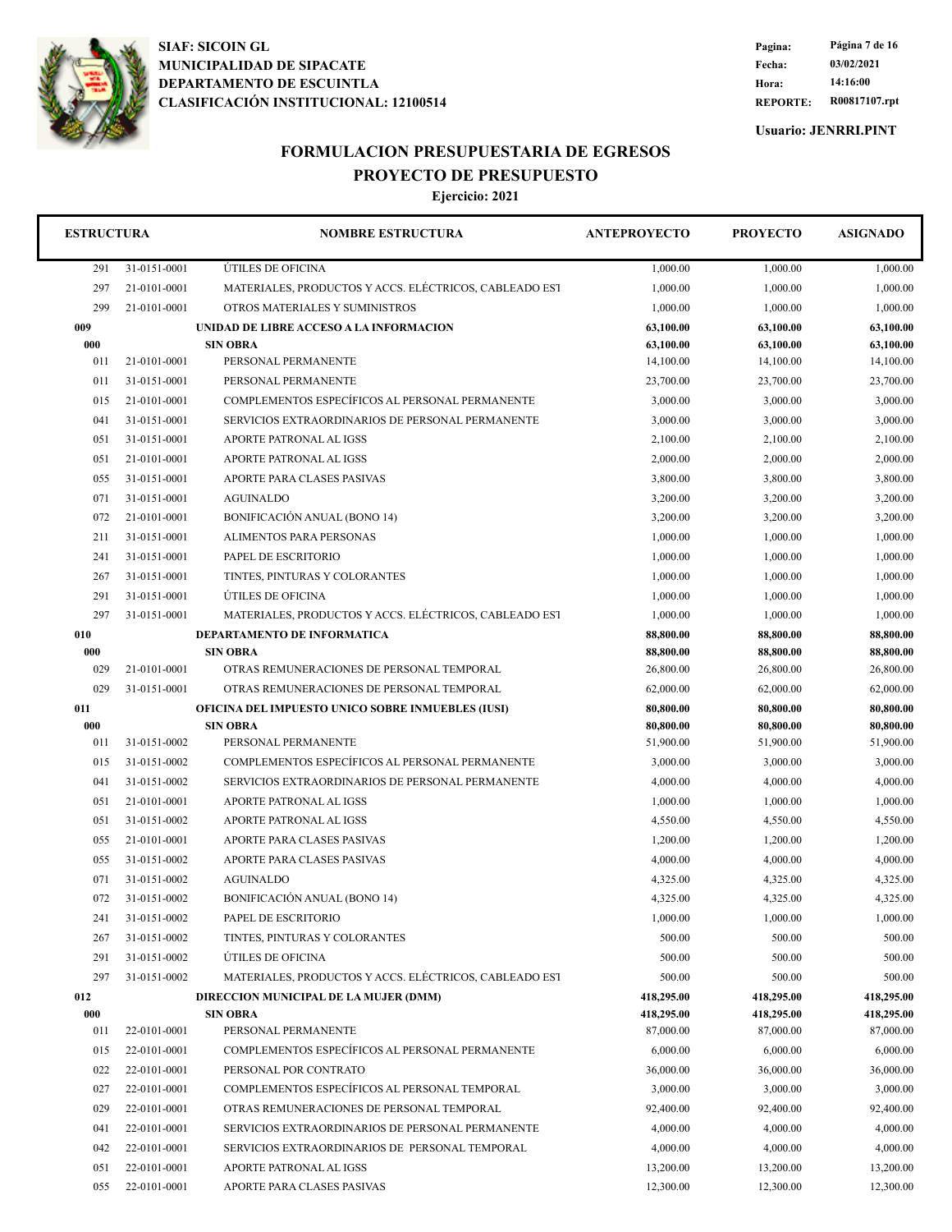

**REPORTE: R00817107.rpt Hora: 14:16:00 Fecha: 03/02/2021 Pagina: Página 7 de 16**

**Usuario: JENRRI.PINT**

## **FORMULACION PRESUPUESTARIA DE EGRESOS PROYECTO DE PRESUPUESTO**

| <b>ESTRUCTURA</b> |              | <b>NOMBRE ESTRUCTURA</b>                               | <b>ANTEPROYECTO</b> | <b>PROYECTO</b> | <b>ASIGNADO</b> |
|-------------------|--------------|--------------------------------------------------------|---------------------|-----------------|-----------------|
| 291               | 31-0151-0001 | ÚTILES DE OFICINA                                      | 1,000.00            | 1,000.00        | 1,000.00        |
| 297               | 21-0101-0001 | MATERIALES, PRODUCTOS Y ACCS. ELÉCTRICOS, CABLEADO EST | 1,000.00            | 1,000.00        | 1,000.00        |
| 299               | 21-0101-0001 | OTROS MATERIALES Y SUMINISTROS                         | 1,000.00            | 1.000.00        | 1,000.00        |
| 009               |              | UNIDAD DE LIBRE ACCESO A LA INFORMACION                | 63,100.00           | 63,100.00       | 63,100.00       |
| 000               |              | <b>SIN OBRA</b>                                        | 63,100.00           | 63,100.00       | 63,100.00       |
| 011               | 21-0101-0001 | PERSONAL PERMANENTE                                    | 14,100.00           | 14,100.00       | 14,100.00       |
| 011               | 31-0151-0001 | PERSONAL PERMANENTE                                    | 23,700.00           | 23,700.00       | 23,700.00       |
| 015               | 21-0101-0001 | COMPLEMENTOS ESPECÍFICOS AL PERSONAL PERMANENTE        | 3,000.00            | 3,000.00        | 3,000.00        |
| 041               | 31-0151-0001 | SERVICIOS EXTRAORDINARIOS DE PERSONAL PERMANENTE       | 3,000.00            | 3,000.00        | 3,000.00        |
| 051               | 31-0151-0001 | APORTE PATRONAL AL IGSS                                | 2,100.00            | 2,100.00        | 2,100.00        |
| 051               | 21-0101-0001 | APORTE PATRONAL AL IGSS                                | 2,000.00            | 2,000.00        | 2,000.00        |
| 055               | 31-0151-0001 | APORTE PARA CLASES PASIVAS                             | 3,800.00            | 3,800.00        | 3,800.00        |
| 071               | 31-0151-0001 | <b>AGUINALDO</b>                                       | 3,200.00            | 3,200.00        | 3,200.00        |
| 072               | 21-0101-0001 | <b>BONIFICACIÓN ANUAL (BONO 14)</b>                    | 3,200.00            | 3,200.00        | 3,200.00        |
| 211               | 31-0151-0001 | <b>ALIMENTOS PARA PERSONAS</b>                         | 1,000.00            | 1,000.00        | 1,000.00        |
| 241               | 31-0151-0001 | PAPEL DE ESCRITORIO                                    | 1,000.00            | 1,000.00        | 1,000.00        |
| 267               | 31-0151-0001 | TINTES, PINTURAS Y COLORANTES                          | 1,000.00            | 1,000.00        | 1,000.00        |
| 291               | 31-0151-0001 | ÚTILES DE OFICINA                                      | 1,000.00            | 1,000.00        | 1,000.00        |
| 297               | 31-0151-0001 | MATERIALES, PRODUCTOS Y ACCS. ELÉCTRICOS, CABLEADO EST | 1,000.00            | 1.000.00        | 1,000.00        |
| 010               |              | DEPARTAMENTO DE INFORMATICA                            | 88,800.00           | 88,800.00       | 88,800.00       |
| 000               |              | <b>SIN OBRA</b>                                        | 88,800.00           | 88,800.00       | 88,800.00       |
| 029               | 21-0101-0001 | OTRAS REMUNERACIONES DE PERSONAL TEMPORAL              | 26,800.00           | 26,800.00       | 26,800.00       |
| 029               | 31-0151-0001 | OTRAS REMUNERACIONES DE PERSONAL TEMPORAL              | 62,000.00           | 62,000.00       | 62,000.00       |
| 011               |              | OFICINA DEL IMPUESTO UNICO SOBRE INMUEBLES (IUSI)      | 80,800.00           | 80,800.00       | 80,800.00       |
| 000               |              | <b>SIN OBRA</b>                                        | 80,800.00           | 80,800.00       | 80,800.00       |
| 011               | 31-0151-0002 | PERSONAL PERMANENTE                                    | 51,900.00           | 51,900.00       | 51,900.00       |
| 015               | 31-0151-0002 | COMPLEMENTOS ESPECÍFICOS AL PERSONAL PERMANENTE        | 3,000.00            | 3,000.00        | 3,000.00        |
| 041               | 31-0151-0002 | SERVICIOS EXTRAORDINARIOS DE PERSONAL PERMANENTE       | 4,000.00            | 4,000.00        | 4,000.00        |
| 051               | 21-0101-0001 | APORTE PATRONAL AL IGSS                                | 1,000.00            | 1,000.00        | 1,000.00        |
| 051               | 31-0151-0002 | <b>APORTE PATRONAL AL IGSS</b>                         | 4,550.00            | 4,550.00        | 4,550.00        |
| 055               | 21-0101-0001 | APORTE PARA CLASES PASIVAS                             | 1,200.00            | 1,200.00        | 1,200.00        |
| 055               | 31-0151-0002 | APORTE PARA CLASES PASIVAS                             | 4,000.00            | 4,000.00        | 4,000.00        |
| 071               | 31-0151-0002 | <b>AGUINALDO</b>                                       | 4,325.00            | 4,325.00        | 4,325.00        |
| 072               | 31-0151-0002 | BONIFICACIÓN ANUAL (BONO 14)                           | 4,325.00            | 4,325.00        | 4,325.00        |
| 241               | 31-0151-0002 | PAPEL DE ESCRITORIO                                    | 1,000.00            | 1,000.00        | 1,000.00        |
| 267               | 31-0151-0002 | TINTES, PINTURAS Y COLORANTES                          | 500.00              | 500.00          | 500.00          |
| 291               | 31-0151-0002 | ÚTILES DE OFICINA                                      | 500.00              | 500.00          | 500.00          |
| 297               | 31-0151-0002 | MATERIALES, PRODUCTOS Y ACCS. ELÉCTRICOS, CABLEADO EST | 500.00              | 500.00          | 500.00          |
| 012               |              | DIRECCION MUNICIPAL DE LA MUJER (DMM)                  | 418,295.00          | 418,295.00      | 418,295.00      |
| 000               |              | <b>SIN OBRA</b>                                        | 418,295.00          | 418,295.00      | 418,295.00      |
| 011               | 22-0101-0001 | PERSONAL PERMANENTE                                    | 87,000.00           | 87,000.00       | 87,000.00       |
| 015               | 22-0101-0001 | COMPLEMENTOS ESPECÍFICOS AL PERSONAL PERMANENTE        | 6,000.00            | 6,000.00        | 6,000.00        |
| 022               | 22-0101-0001 | PERSONAL POR CONTRATO                                  | 36,000.00           | 36,000.00       | 36,000.00       |
| 027               | 22-0101-0001 | COMPLEMENTOS ESPECÍFICOS AL PERSONAL TEMPORAL          | 3,000.00            | 3,000.00        | 3,000.00        |
| 029               | 22-0101-0001 | OTRAS REMUNERACIONES DE PERSONAL TEMPORAL              | 92,400.00           | 92,400.00       | 92,400.00       |
| 041               | 22-0101-0001 | SERVICIOS EXTRAORDINARIOS DE PERSONAL PERMANENTE       | 4,000.00            | 4,000.00        | 4,000.00        |
| 042               | 22-0101-0001 | SERVICIOS EXTRAORDINARIOS DE PERSONAL TEMPORAL         | 4,000.00            | 4,000.00        | 4,000.00        |
| 051               | 22-0101-0001 | APORTE PATRONAL AL IGSS                                | 13,200.00           | 13,200.00       | 13,200.00       |
| 055               | 22-0101-0001 | APORTE PARA CLASES PASIVAS                             | 12,300.00           | 12,300.00       | 12,300.00       |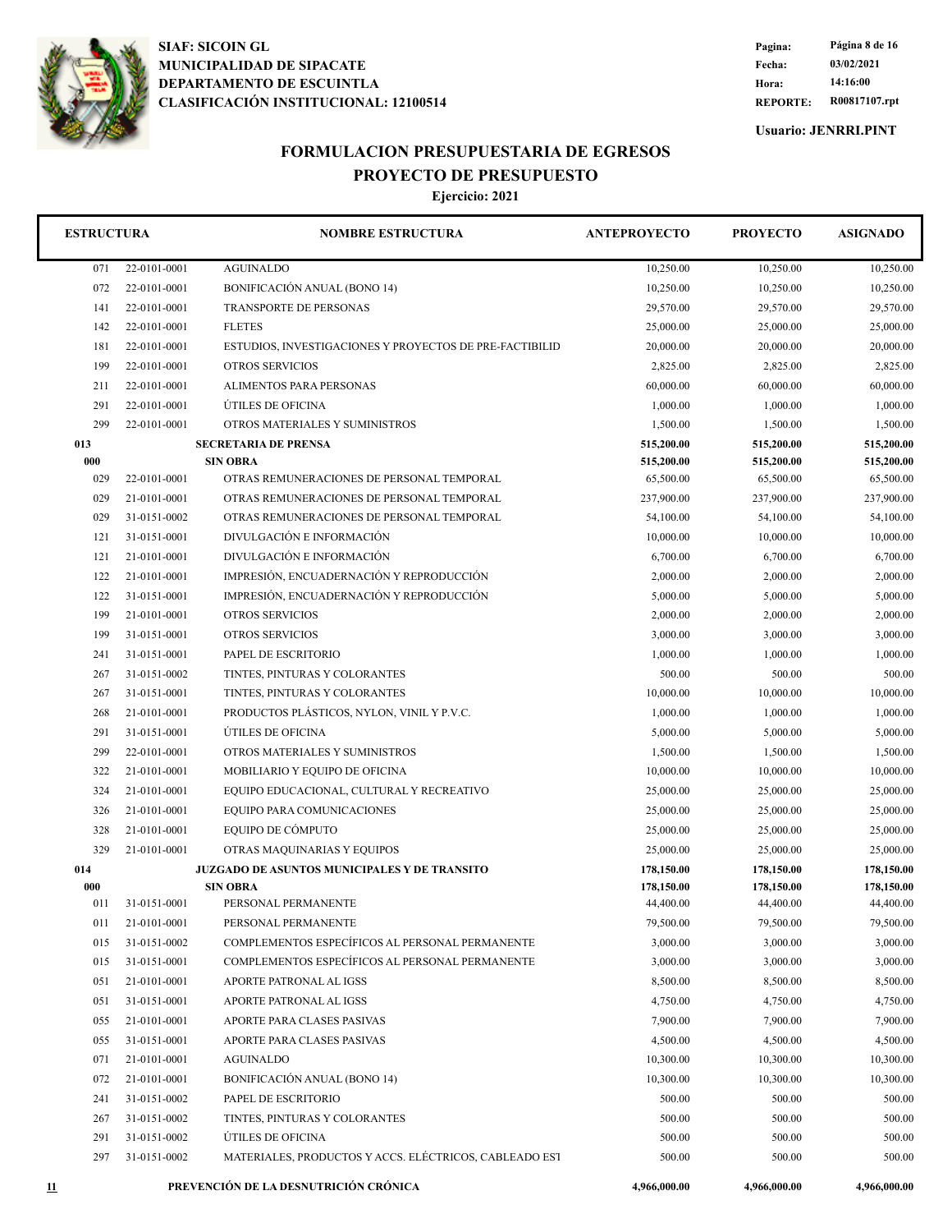

**REPORTE: R00817107.rpt Hora: 14:16:00 Fecha: 03/02/2021 Pagina: Página 8 de 16**

**Usuario: JENRRI.PINT**

## **FORMULACION PRESUPUESTARIA DE EGRESOS PROYECTO DE PRESUPUESTO**

| <b>ESTRUCTURA</b> |                 | <b>NOMBRE ESTRUCTURA</b>                                | <b>ANTEPROYECTO</b> | <b>PROYECTO</b> | <b>ASIGNADO</b> |
|-------------------|-----------------|---------------------------------------------------------|---------------------|-----------------|-----------------|
| 071               | 22-0101-0001    | <b>AGUINALDO</b>                                        | 10,250.00           | 10,250.00       | 10,250.00       |
| 072               | 22-0101-0001    | <b>BONIFICACIÓN ANUAL (BONO 14)</b>                     | 10,250.00           | 10,250.00       | 10,250.00       |
| 141               | 22-0101-0001    | TRANSPORTE DE PERSONAS                                  | 29,570.00           | 29,570.00       | 29,570.00       |
| 142               | 22-0101-0001    | <b>FLETES</b>                                           | 25,000.00           | 25,000.00       | 25,000.00       |
| 181               | 22-0101-0001    | ESTUDIOS, INVESTIGACIONES Y PROYECTOS DE PRE-FACTIBILID | 20,000.00           | 20,000.00       | 20,000.00       |
| 199               | 22-0101-0001    | <b>OTROS SERVICIOS</b>                                  | 2,825.00            | 2,825.00        | 2,825.00        |
| 211               | 22-0101-0001    | ALIMENTOS PARA PERSONAS                                 | 60,000.00           | 60,000.00       | 60,000.00       |
| 291               | 22-0101-0001    | ÚTILES DE OFICINA                                       | 1,000.00            | 1,000.00        | 1,000.00        |
| 299               | 22-0101-0001    | OTROS MATERIALES Y SUMINISTROS                          | 1,500.00            | 1,500.00        | 1,500.00        |
| 013               |                 | <b>SECRETARIA DE PRENSA</b>                             | 515,200.00          | 515,200.00      | 515,200.00      |
| 000               | <b>SIN OBRA</b> |                                                         | 515,200.00          | 515,200.00      | 515,200.00      |
| 029               | 22-0101-0001    | OTRAS REMUNERACIONES DE PERSONAL TEMPORAL               | 65,500.00           | 65,500.00       | 65,500.00       |
| 029               | 21-0101-0001    | OTRAS REMUNERACIONES DE PERSONAL TEMPORAL               | 237,900.00          | 237,900.00      | 237,900.00      |
| 029               | 31-0151-0002    | OTRAS REMUNERACIONES DE PERSONAL TEMPORAL               | 54,100.00           | 54,100.00       | 54,100.00       |
| 121               | 31-0151-0001    | DIVULGACIÓN E INFORMACIÓN                               | 10,000.00           | 10,000.00       | 10,000.00       |
| 121               | 21-0101-0001    | DIVULGACIÓN E INFORMACIÓN                               | 6,700.00            | 6,700.00        | 6,700.00        |
| 122               | 21-0101-0001    | IMPRESIÓN, ENCUADERNACIÓN Y REPRODUCCIÓN                | 2,000.00            | 2,000.00        | 2,000.00        |
| 122               | 31-0151-0001    | IMPRESIÓN, ENCUADERNACIÓN Y REPRODUCCIÓN                | 5,000.00            | 5,000.00        | 5,000.00        |
| 199               | 21-0101-0001    | <b>OTROS SERVICIOS</b>                                  | 2,000.00            | 2,000.00        | 2,000.00        |
| 199               | 31-0151-0001    | <b>OTROS SERVICIOS</b>                                  | 3,000.00            | 3,000.00        | 3,000.00        |
| 241               | 31-0151-0001    | PAPEL DE ESCRITORIO                                     | 1,000.00            | 1,000.00        | 1,000.00        |
| 267               | 31-0151-0002    | TINTES, PINTURAS Y COLORANTES                           | 500.00              | 500.00          | 500.00          |
| 267               | 31-0151-0001    | TINTES, PINTURAS Y COLORANTES                           | 10,000.00           | 10,000.00       | 10,000.00       |
| 268               | 21-0101-0001    | PRODUCTOS PLÁSTICOS, NYLON, VINIL Y P.V.C.              | 1,000.00            | 1,000.00        | 1,000.00        |
| 291               | 31-0151-0001    | ÚTILES DE OFICINA                                       | 5,000.00            | 5,000.00        | 5,000.00        |
| 299               | 22-0101-0001    | OTROS MATERIALES Y SUMINISTROS                          | 1,500.00            | 1,500.00        | 1,500.00        |
| 322               | 21-0101-0001    | MOBILIARIO Y EQUIPO DE OFICINA                          | 10,000.00           | 10,000.00       | 10,000.00       |
| 324               | 21-0101-0001    | EQUIPO EDUCACIONAL, CULTURAL Y RECREATIVO               | 25,000.00           | 25,000.00       | 25,000.00       |
| 326               | 21-0101-0001    | EQUIPO PARA COMUNICACIONES                              | 25,000.00           | 25,000.00       | 25,000.00       |
| 328               | 21-0101-0001    | EQUIPO DE CÓMPUTO                                       | 25,000.00           | 25,000.00       | 25,000.00       |
| 329               | 21-0101-0001    | OTRAS MAQUINARIAS Y EQUIPOS                             | 25,000.00           | 25,000.00       | 25,000.00       |
| 014               |                 | <b>JUZGADO DE ASUNTOS MUNICIPALES Y DE TRANSITO</b>     | 178,150.00          | 178,150.00      | 178,150.00      |
| 000               |                 | <b>SIN OBRA</b>                                         | 178,150.00          | 178,150.00      | 178,150.00      |
| 011               | 31-0151-0001    | PERSONAL PERMANENTE                                     | 44,400.00           | 44,400.00       | 44,400.00       |
| 011               | 21-0101-0001    | PERSONAL PERMANENTE                                     | 79,500.00           | 79,500.00       | 79,500.00       |
| 015               | 31-0151-0002    | COMPLEMENTOS ESPECÍFICOS AL PERSONAL PERMANENTE         | 3,000.00            | 3,000.00        | 3,000.00        |
| 015               | 31-0151-0001    | COMPLEMENTOS ESPECÍFICOS AL PERSONAL PERMANENTE         | 3,000.00            | 3,000.00        | 3,000.00        |
| 051               | 21-0101-0001    | APORTE PATRONAL AL IGSS                                 | 8,500.00            | 8,500.00        | 8,500.00        |
| 051               | 31-0151-0001    | APORTE PATRONAL AL IGSS                                 | 4,750.00            | 4,750.00        | 4,750.00        |
| 055               | 21-0101-0001    | APORTE PARA CLASES PASIVAS                              | 7,900.00            | 7,900.00        | 7,900.00        |
| 055               | 31-0151-0001    | APORTE PARA CLASES PASIVAS                              | 4,500.00            | 4,500.00        | 4,500.00        |
| 071               | 21-0101-0001    | <b>AGUINALDO</b>                                        | 10,300.00           | 10,300.00       | 10,300.00       |
| 072               | 21-0101-0001    | <b>BONIFICACIÓN ANUAL (BONO 14)</b>                     | 10,300.00           | 10,300.00       | 10,300.00       |
| 241               | 31-0151-0002    | PAPEL DE ESCRITORIO                                     | 500.00              | 500.00          | 500.00          |
| 267               | 31-0151-0002    | TINTES, PINTURAS Y COLORANTES                           | 500.00              | 500.00          | 500.00          |
| 291               | 31-0151-0002    | ÚTILES DE OFICINA                                       | 500.00              | 500.00          | 500.00          |
| 297               | 31-0151-0002    | MATERIALES, PRODUCTOS Y ACCS. ELÉCTRICOS, CABLEADO EST  | 500.00              | 500.00          | 500.00          |
| <u>11</u>         |                 | PREVENCIÓN DE LA DESNUTRICIÓN CRÓNICA                   | 4,966,000.00        | 4,966,000.00    | 4,966,000.00    |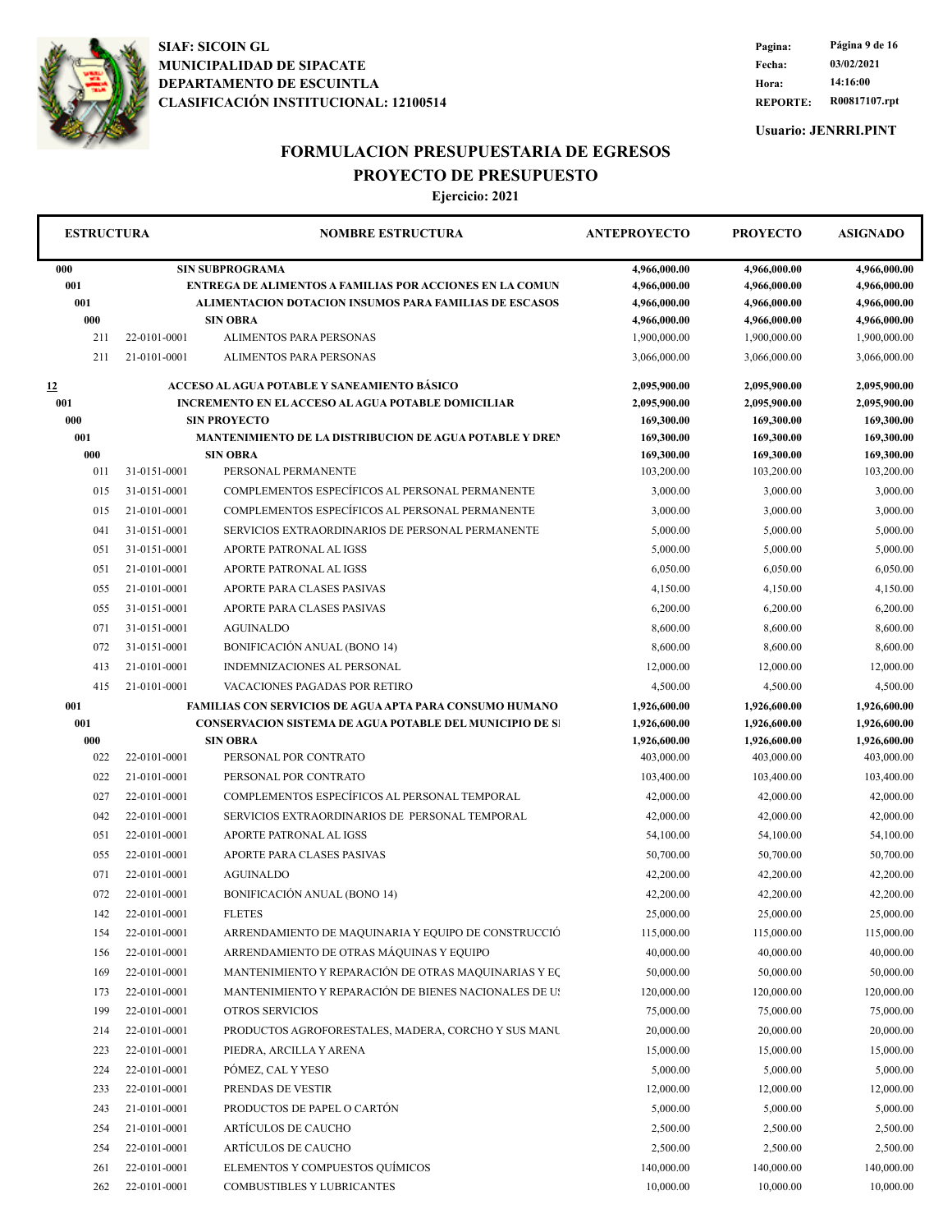

**REPORTE: R00817107.rpt Hora: 14:16:00 Fecha: 03/02/2021 Pagina: Página 9 de 16**

**Usuario: JENRRI.PINT**

#### **FORMULACION PRESUPUESTARIA DE EGRESOS PROYECTO DE PRESUPUESTO**

|     | <b>ESTRUCTURA</b><br><b>NOMBRE ESTRUCTURA</b><br><b>ANTEPROYECTO</b><br><b>PROYECTO</b> |                                                                 | <b>ASIGNADO</b> |              |              |
|-----|-----------------------------------------------------------------------------------------|-----------------------------------------------------------------|-----------------|--------------|--------------|
| 000 |                                                                                         | <b>SIN SUBPROGRAMA</b>                                          | 4,966,000.00    | 4,966,000.00 | 4,966,000.00 |
| 001 |                                                                                         | ENTREGA DE ALIMENTOS A FAMILIAS POR ACCIONES EN LA COMUN        | 4,966,000.00    | 4,966,000.00 | 4,966,000.00 |
| 001 |                                                                                         | <b>ALIMENTACION DOTACION INSUMOS PARA FAMILIAS DE ESCASOS</b>   | 4,966,000.00    | 4,966,000.00 | 4,966,000.00 |
| 000 |                                                                                         | <b>SIN OBRA</b>                                                 | 4,966,000.00    | 4,966,000.00 | 4,966,000.00 |
| 211 | 22-0101-0001                                                                            | ALIMENTOS PARA PERSONAS                                         | 1,900,000.00    | 1,900,000.00 | 1,900,000.00 |
| 211 | 21-0101-0001                                                                            | ALIMENTOS PARA PERSONAS                                         | 3,066,000.00    | 3,066,000.00 | 3,066,000.00 |
| 12  |                                                                                         | ACCESO AL AGUA POTABLE Y SANEAMIENTO BÁSICO                     | 2,095,900.00    | 2,095,900.00 | 2,095,900.00 |
| 001 |                                                                                         | <b>INCREMENTO EN ELACCESO ALAGUA POTABLE DOMICILIAR</b>         | 2,095,900.00    | 2,095,900.00 | 2,095,900.00 |
| 000 |                                                                                         | <b>SIN PROYECTO</b>                                             | 169,300.00      | 169,300.00   | 169,300.00   |
| 001 |                                                                                         | <b>MANTENIMIENTO DE LA DISTRIBUCION DE AGUA POTABLE Y DREN</b>  | 169,300.00      | 169,300.00   | 169,300.00   |
| 000 |                                                                                         | <b>SIN OBRA</b>                                                 | 169,300.00      | 169,300.00   | 169,300.00   |
| 011 | 31-0151-0001                                                                            | PERSONAL PERMANENTE                                             | 103,200.00      | 103,200.00   | 103,200.00   |
| 015 | 31-0151-0001                                                                            | COMPLEMENTOS ESPECÍFICOS AL PERSONAL PERMANENTE                 | 3,000.00        | 3,000.00     | 3,000.00     |
| 015 | 21-0101-0001                                                                            | COMPLEMENTOS ESPECÍFICOS AL PERSONAL PERMANENTE                 | 3,000.00        | 3,000.00     | 3,000.00     |
| 041 | 31-0151-0001                                                                            | SERVICIOS EXTRAORDINARIOS DE PERSONAL PERMANENTE                | 5,000.00        | 5,000.00     | 5,000.00     |
| 051 | 31-0151-0001                                                                            | APORTE PATRONAL AL IGSS                                         | 5,000.00        | 5,000.00     | 5,000.00     |
| 051 | 21-0101-0001                                                                            | APORTE PATRONAL AL IGSS                                         | 6,050.00        | 6,050.00     | 6,050.00     |
| 055 | 21-0101-0001                                                                            | APORTE PARA CLASES PASIVAS                                      | 4,150.00        | 4,150.00     | 4,150.00     |
| 055 | 31-0151-0001                                                                            | APORTE PARA CLASES PASIVAS                                      | 6,200.00        | 6,200.00     | 6,200.00     |
| 071 | 31-0151-0001                                                                            | <b>AGUINALDO</b>                                                | 8,600.00        | 8,600.00     | 8,600.00     |
| 072 | 31-0151-0001                                                                            | BONIFICACIÓN ANUAL (BONO 14)                                    | 8,600.00        | 8,600.00     | 8,600.00     |
| 413 | 21-0101-0001                                                                            | <b>INDEMNIZACIONES AL PERSONAL</b>                              | 12,000.00       | 12,000.00    | 12,000.00    |
| 415 | 21-0101-0001                                                                            | VACACIONES PAGADAS POR RETIRO                                   | 4,500.00        | 4,500.00     | 4,500.00     |
| 001 |                                                                                         | <b>FAMILIAS CON SERVICIOS DE AGUA APTA PARA CONSUMO HUMANO</b>  | 1,926,600.00    | 1,926,600.00 | 1,926,600.00 |
| 001 |                                                                                         | <b>CONSERVACION SISTEMA DE AGUA POTABLE DEL MUNICIPIO DE SI</b> | 1,926,600.00    | 1,926,600.00 | 1,926,600.00 |
| 000 |                                                                                         | <b>SIN OBRA</b>                                                 | 1,926,600.00    | 1,926,600.00 | 1,926,600.00 |
| 022 | 22-0101-0001                                                                            | PERSONAL POR CONTRATO                                           | 403,000.00      | 403,000.00   | 403,000.00   |
| 022 | 21-0101-0001                                                                            | PERSONAL POR CONTRATO                                           | 103,400.00      | 103,400.00   | 103,400.00   |
| 027 | 22-0101-0001                                                                            | COMPLEMENTOS ESPECÍFICOS AL PERSONAL TEMPORAL                   | 42,000.00       | 42,000.00    | 42,000.00    |
| 042 | 22-0101-0001                                                                            | SERVICIOS EXTRAORDINARIOS DE PERSONAL TEMPORAL                  | 42,000.00       | 42,000.00    | 42,000.00    |
| 051 | 22-0101-0001                                                                            | APORTE PATRONAL AL IGSS                                         | 54,100.00       | 54,100.00    | 54,100.00    |
| 055 | 22-0101-0001                                                                            | APORTE PARA CLASES PASIVAS                                      | 50,700.00       | 50,700.00    | 50,700.00    |
| 071 | 22-0101-0001                                                                            | <b>AGUINALDO</b>                                                | 42,200.00       | 42,200.00    | 42,200.00    |
|     |                                                                                         |                                                                 |                 |              |              |
| 072 | 22-0101-0001                                                                            | BONIFICACIÓN ANUAL (BONO 14)                                    | 42,200.00       | 42,200.00    | 42,200.00    |
| 142 | 22-0101-0001                                                                            | <b>FLETES</b>                                                   | 25,000.00       | 25,000.00    | 25,000.00    |
| 154 | 22-0101-0001                                                                            | ARRENDAMIENTO DE MAQUINARIA Y EQUIPO DE CONSTRUCCIÓ             | 115,000.00      | 115,000.00   | 115,000.00   |
| 156 | 22-0101-0001                                                                            | ARRENDAMIENTO DE OTRAS MÁQUINAS Y EQUIPO                        | 40,000.00       | 40,000.00    | 40,000.00    |
| 169 | 22-0101-0001                                                                            | MANTENIMIENTO Y REPARACIÓN DE OTRAS MAQUINARIAS Y EÇ            | 50,000.00       | 50,000.00    | 50,000.00    |
| 173 | 22-0101-0001                                                                            | MANTENIMIENTO Y REPARACIÓN DE BIENES NACIONALES DE US           | 120,000.00      | 120,000.00   | 120,000.00   |
| 199 | 22-0101-0001                                                                            | OTROS SERVICIOS                                                 | 75,000.00       | 75,000.00    | 75,000.00    |
| 214 | 22-0101-0001                                                                            | PRODUCTOS AGROFORESTALES, MADERA, CORCHO Y SUS MANU             | 20,000.00       | 20,000.00    | 20,000.00    |
| 223 | 22-0101-0001                                                                            | PIEDRA, ARCILLA Y ARENA                                         | 15,000.00       | 15,000.00    | 15,000.00    |
| 224 | 22-0101-0001                                                                            | PÓMEZ, CAL Y YESO                                               | 5,000.00        | 5,000.00     | 5,000.00     |
| 233 | 22-0101-0001                                                                            | PRENDAS DE VESTIR                                               | 12,000.00       | 12,000.00    | 12,000.00    |
| 243 | 21-0101-0001                                                                            | PRODUCTOS DE PAPEL O CARTÓN                                     | 5,000.00        | 5,000.00     | 5,000.00     |
| 254 | 21-0101-0001                                                                            | ARTÍCULOS DE CAUCHO                                             | 2,500.00        | 2,500.00     | 2,500.00     |
| 254 | 22-0101-0001                                                                            | ARTÍCULOS DE CAUCHO                                             | 2,500.00        | 2,500.00     | 2,500.00     |
| 261 | 22-0101-0001                                                                            | ELEMENTOS Y COMPUESTOS QUÍMICOS                                 | 140,000.00      | 140,000.00   | 140,000.00   |
|     | 22-0101-0001                                                                            | COMBUSTIBLES Y LUBRICANTES                                      | 10,000.00       | 10,000.00    | 10,000.00    |
| 262 |                                                                                         |                                                                 |                 |              |              |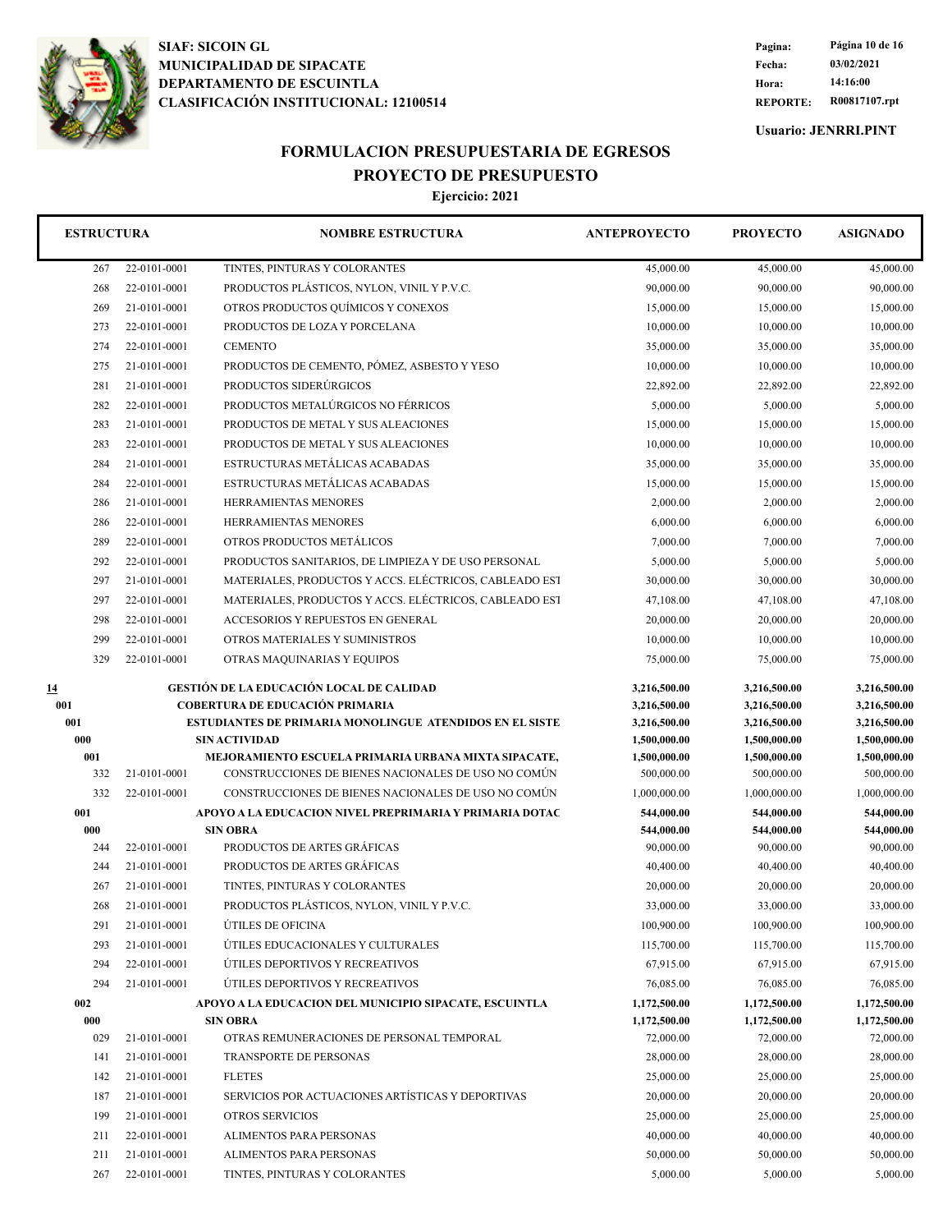

**REPORTE: R00817107.rpt Hora: 14:16:00 Fecha: 03/02/2021 Pagina: Página 10 de 16**

**Usuario: JENRRI.PINT**

## **FORMULACION PRESUPUESTARIA DE EGRESOS PROYECTO DE PRESUPUESTO**

| <b>ESTRUCTURA</b> |                              | <b>NOMBRE ESTRUCTURA</b>                                                                                  | <b>ANTEPROYECTO</b>          | <b>PROYECTO</b><br><b>ASIGNADO</b> |                              |
|-------------------|------------------------------|-----------------------------------------------------------------------------------------------------------|------------------------------|------------------------------------|------------------------------|
| 267               | 22-0101-0001                 | TINTES, PINTURAS Y COLORANTES                                                                             | 45,000.00                    | 45,000.00                          | 45,000.00                    |
| 268               | 22-0101-0001                 | PRODUCTOS PLÁSTICOS, NYLON, VINIL Y P.V.C.                                                                | 90,000.00                    | 90,000.00                          | 90,000.00                    |
| 269               | 21-0101-0001                 | OTROS PRODUCTOS QUÍMICOS Y CONEXOS                                                                        | 15,000.00                    | 15,000.00                          | 15,000.00                    |
| 273               | 22-0101-0001                 | PRODUCTOS DE LOZA Y PORCELANA                                                                             | 10,000.00                    | 10,000.00                          | 10,000.00                    |
| 274               | 22-0101-0001                 | <b>CEMENTO</b>                                                                                            | 35,000.00                    | 35,000.00                          | 35,000.00                    |
| 275               | 21-0101-0001                 | PRODUCTOS DE CEMENTO, PÓMEZ, ASBESTO Y YESO                                                               | 10,000.00                    | 10,000.00                          | 10,000.00                    |
| 281               | 21-0101-0001                 | PRODUCTOS SIDERÚRGICOS                                                                                    | 22,892.00                    | 22,892.00                          | 22,892.00                    |
| 282               | 22-0101-0001                 | PRODUCTOS METALÚRGICOS NO FÉRRICOS                                                                        | 5,000.00                     | 5,000.00                           | 5,000.00                     |
| 283               | 21-0101-0001                 | PRODUCTOS DE METAL Y SUS ALEACIONES                                                                       | 15,000.00                    | 15,000.00                          | 15,000.00                    |
| 283               | 22-0101-0001                 | PRODUCTOS DE METAL Y SUS ALEACIONES                                                                       | 10,000.00                    | 10,000.00                          | 10,000.00                    |
| 284               | 21-0101-0001                 | ESTRUCTURAS METÁLICAS ACABADAS                                                                            | 35,000.00                    | 35,000.00                          | 35,000.00                    |
| 284               | 22-0101-0001                 | ESTRUCTURAS METÁLICAS ACABADAS                                                                            | 15,000.00                    | 15,000.00                          | 15,000.00                    |
| 286               | 21-0101-0001                 | HERRAMIENTAS MENORES                                                                                      | 2,000.00                     | 2,000.00                           | 2,000.00                     |
| 286               | 22-0101-0001                 | HERRAMIENTAS MENORES                                                                                      | 6,000.00                     | 6,000.00                           | 6,000.00                     |
| 289               | 22-0101-0001                 | OTROS PRODUCTOS METÁLICOS                                                                                 | 7,000.00                     | 7,000.00                           | 7,000.00                     |
| 292               | 22-0101-0001                 | PRODUCTOS SANITARIOS, DE LIMPIEZA Y DE USO PERSONAL                                                       | 5,000.00                     | 5,000.00                           | 5,000.00                     |
| 297               | 21-0101-0001                 | MATERIALES, PRODUCTOS Y ACCS. ELÉCTRICOS, CABLEADO EST                                                    | 30,000.00                    | 30,000.00                          | 30,000.00                    |
| 297               | 22-0101-0001                 | MATERIALES, PRODUCTOS Y ACCS. ELÉCTRICOS, CABLEADO EST                                                    | 47,108.00                    | 47,108.00                          | 47,108.00                    |
| 298               | 22-0101-0001                 | ACCESORIOS Y REPUESTOS EN GENERAL                                                                         | 20,000.00                    | 20,000.00                          | 20,000.00                    |
| 299               | 22-0101-0001                 | OTROS MATERIALES Y SUMINISTROS                                                                            | 10,000.00                    | 10,000.00                          | 10,000.00                    |
| 329               | 22-0101-0001                 | OTRAS MAQUINARIAS Y EQUIPOS                                                                               | 75,000.00                    | 75,000.00                          | 75,000.00                    |
| <u>14</u>         |                              | <b>GESTIÓN DE LA EDUCACIÓN LOCAL DE CALIDAD</b>                                                           | 3,216,500.00                 | 3,216,500.00                       | 3,216,500.00                 |
| 001<br>001        |                              | <b>COBERTURA DE EDUCACIÓN PRIMARIA</b><br><b>ESTUDIANTES DE PRIMARIA MONOLINGUE ATENDIDOS EN EL SISTE</b> | 3,216,500.00<br>3,216,500.00 | 3,216,500.00<br>3,216,500.00       | 3,216,500.00<br>3,216,500.00 |
| 000               |                              | <b>SIN ACTIVIDAD</b>                                                                                      | 1,500,000.00                 | 1,500,000.00                       | 1,500,000.00                 |
| 001               |                              | MEJORAMIENTO ESCUELA PRIMARIA URBANA MIXTA SIPACATE,                                                      | 1,500,000.00                 | 1,500,000.00                       | 1,500,000.00                 |
| 332               | 21-0101-0001                 | CONSTRUCCIONES DE BIENES NACIONALES DE USO NO COMÚN                                                       | 500,000.00                   | 500,000.00                         | 500,000.00                   |
| 332               | 22-0101-0001                 | CONSTRUCCIONES DE BIENES NACIONALES DE USO NO COMÚN                                                       | 1,000,000.00                 | 1,000,000.00                       | 1,000,000.00                 |
| 001               |                              | APOYO A LA EDUCACION NIVEL PREPRIMARIA Y PRIMARIA DOTAC                                                   | 544,000.00                   | 544,000.00                         | 544,000.00                   |
| 000               |                              | <b>SIN OBRA</b>                                                                                           | 544,000.00                   | 544,000.00                         | 544,000.00                   |
| 244               | 22-0101-0001                 | PRODUCTOS DE ARTES GRÁFICAS                                                                               | 90,000.00                    | 90,000.00                          | 90,000.00                    |
| 244               | 21-0101-0001                 | PRODUCTOS DE ARTES GRÁFICAS                                                                               | 40,400.00                    | 40,400.00                          | 40,400.00                    |
| 267               | 21-0101-0001                 | TINTES, PINTURAS Y COLORANTES                                                                             | 20,000.00                    | 20,000.00                          | 20,000.00                    |
| 268               | 21-0101-0001                 | PRODUCTOS PLÁSTICOS, NYLON, VINIL Y P.V.C.                                                                | 33,000.00                    | 33,000.00                          | 33,000.00                    |
| 291               | 21-0101-0001                 | ÚTILES DE OFICINA                                                                                         | 100,900.00                   | 100,900.00                         | 100,900.00                   |
| 293               | 21-0101-0001                 | ÚTILES EDUCACIONALES Y CULTURALES                                                                         | 115,700.00                   | 115,700.00                         | 115,700.00                   |
| 294               |                              |                                                                                                           |                              |                                    |                              |
| 294               | 22-0101-0001                 | ÚTILES DEPORTIVOS Y RECREATIVOS                                                                           | 67,915.00                    | 67,915.00                          | 67,915.00                    |
|                   | 21-0101-0001                 | ÚTILES DEPORTIVOS Y RECREATIVOS                                                                           | 76,085.00                    | 76,085.00                          | 76,085.00                    |
| 002               |                              | APOYO A LA EDUCACION DEL MUNICIPIO SIPACATE, ESCUINTLA                                                    | 1,172,500.00                 | 1,172,500.00                       | 1,172,500.00                 |
| 000               |                              | <b>SIN OBRA</b>                                                                                           | 1,172,500.00                 | 1,172,500.00                       | 1,172,500.00                 |
| 029               | 21-0101-0001                 | OTRAS REMUNERACIONES DE PERSONAL TEMPORAL                                                                 | 72,000.00                    | 72,000.00                          | 72,000.00                    |
| 141               | 21-0101-0001                 | TRANSPORTE DE PERSONAS                                                                                    | 28,000.00                    | 28,000.00                          | 28,000.00                    |
| 142               | 21-0101-0001                 | <b>FLETES</b>                                                                                             | 25,000.00                    | 25,000.00                          | 25,000.00                    |
| 187               | 21-0101-0001                 | SERVICIOS POR ACTUACIONES ARTÍSTICAS Y DEPORTIVAS                                                         | 20,000.00                    | 20,000.00                          | 20,000.00                    |
| 199               | 21-0101-0001                 | <b>OTROS SERVICIOS</b>                                                                                    | 25,000.00                    | 25,000.00                          | 25,000.00                    |
| 211<br>211        | 22-0101-0001<br>21-0101-0001 | ALIMENTOS PARA PERSONAS<br>ALIMENTOS PARA PERSONAS                                                        | 40,000.00<br>50,000.00       | 40,000.00<br>50,000.00             | 40,000.00<br>50,000.00       |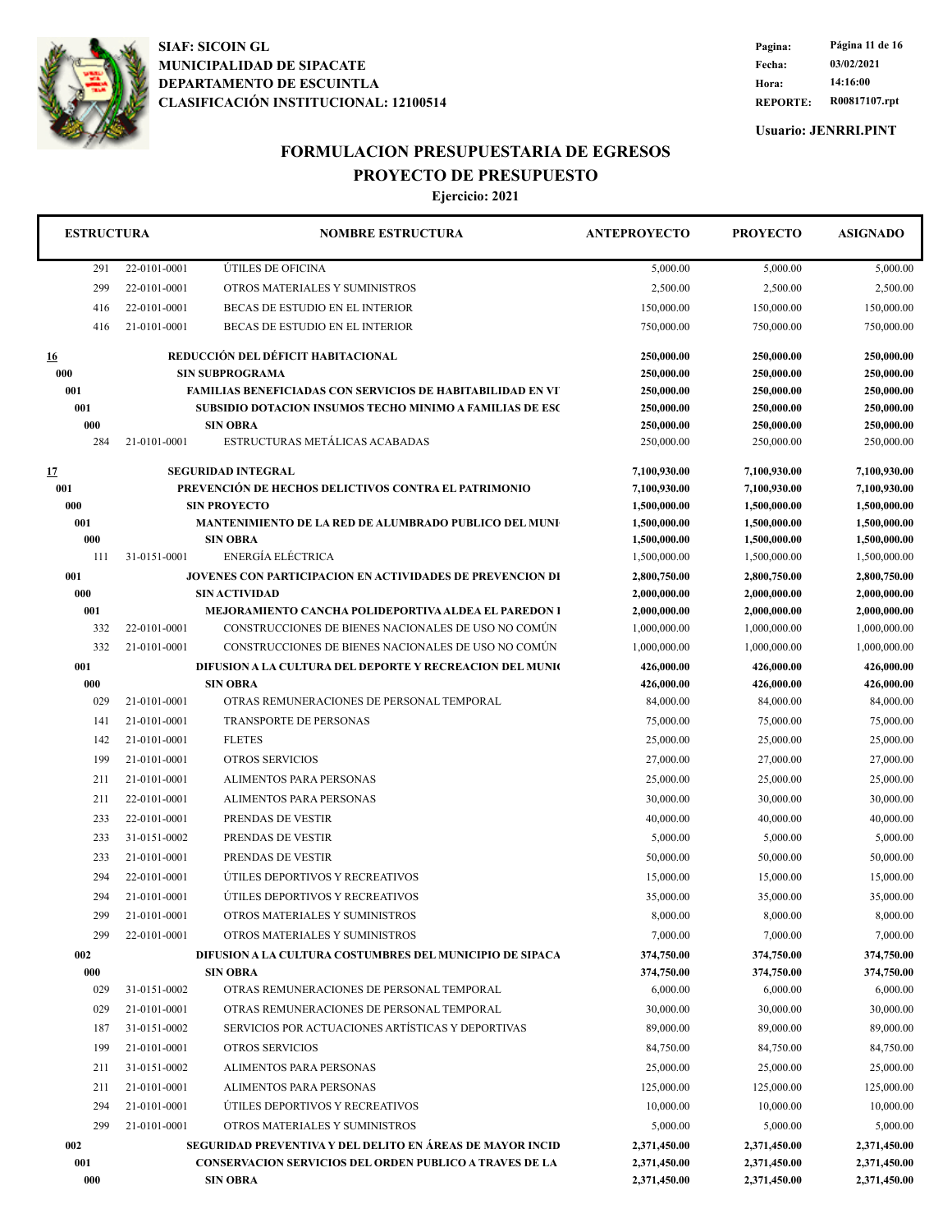

**REPORTE: R00817107.rpt Hora: 14:16:00 Fecha: 03/02/2021 Pagina: Página 11 de 16**

**Usuario: JENRRI.PINT**

## **FORMULACION PRESUPUESTARIA DE EGRESOS PROYECTO DE PRESUPUESTO**

| <b>ESTRUCTURA</b> |              | <b>NOMBRE ESTRUCTURA</b>                                                                 | <b>ANTEPROYECTO</b>          | <b>PROYECTO</b>              | <b>ASIGNADO</b>              |
|-------------------|--------------|------------------------------------------------------------------------------------------|------------------------------|------------------------------|------------------------------|
| 291               | 22-0101-0001 | ÚTILES DE OFICINA                                                                        | 5,000.00                     | 5,000.00                     | 5,000.00                     |
| 299               | 22-0101-0001 | OTROS MATERIALES Y SUMINISTROS                                                           | 2,500.00                     | 2,500.00                     | 2,500.00                     |
| 416               | 22-0101-0001 | BECAS DE ESTUDIO EN EL INTERIOR                                                          | 150,000.00                   | 150,000.00                   | 150,000.00                   |
| 416               | 21-0101-0001 | BECAS DE ESTUDIO EN EL INTERIOR                                                          | 750,000.00                   | 750,000.00                   | 750,000.00                   |
| <u>16</u>         |              | REDUCCIÓN DEL DÉFICIT HABITACIONAL                                                       | 250,000.00                   | 250,000.00                   | 250,000.00                   |
| 000               |              | <b>SIN SUBPROGRAMA</b>                                                                   | 250,000.00                   | 250,000.00                   | 250,000.00                   |
| 001               |              | <b>FAMILIAS BENEFICIADAS CON SERVICIOS DE HABITABILIDAD EN VT</b>                        | 250,000.00                   | 250,000.00                   | 250,000.00                   |
| 001               |              | <b>SUBSIDIO DOTACION INSUMOS TECHO MINIMO A FAMILIAS DE ESC</b>                          | 250,000.00                   | 250,000.00                   | 250,000.00                   |
| 000               |              | <b>SIN OBRA</b>                                                                          | 250,000.00                   | 250,000.00                   | 250,000.00                   |
| 284               | 21-0101-0001 | ESTRUCTURAS METÁLICAS ACABADAS                                                           | 250,000.00                   | 250,000.00                   | 250,000.00                   |
| <u>17</u>         |              | <b>SEGURIDAD INTEGRAL</b>                                                                | 7,100,930.00                 | 7,100,930.00                 | 7,100,930.00                 |
| 001               |              | PREVENCIÓN DE HECHOS DELICTIVOS CONTRA EL PATRIMONIO                                     | 7,100,930.00                 | 7,100,930.00                 | 7,100,930.00                 |
| 000               |              | <b>SIN PROYECTO</b>                                                                      | 1,500,000.00                 | 1,500,000.00                 | 1,500,000.00                 |
| 001               |              | <b>MANTENIMIENTO DE LA RED DE ALUMBRADO PUBLICO DEL MUNI</b>                             | 1,500,000.00                 | 1,500,000.00                 | 1,500,000.00                 |
| 000               |              | <b>SIN OBRA</b>                                                                          | 1,500,000.00                 | 1,500,000.00                 | 1,500,000.00                 |
| 111               | 31-0151-0001 | ENERGÍA ELÉCTRICA                                                                        | 1,500,000.00                 | 1,500,000.00                 | 1,500,000.00                 |
| 001<br>000        |              | <b>JOVENES CON PARTICIPACION EN ACTIVIDADES DE PREVENCION DI</b><br><b>SIN ACTIVIDAD</b> | 2,800,750.00<br>2,000,000.00 | 2,800,750.00<br>2,000,000.00 | 2,800,750.00<br>2,000,000.00 |
| 001               |              | <b>MEJORAMIENTO CANCHA POLIDEPORTIVA ALDEA EL PAREDON 1</b>                              | 2,000,000.00                 | 2,000,000.00                 | 2,000,000.00                 |
| 332               | 22-0101-0001 | CONSTRUCCIONES DE BIENES NACIONALES DE USO NO COMUN                                      | 1,000,000.00                 | 1,000,000.00                 | 1,000,000.00                 |
| 332               | 21-0101-0001 | CONSTRUCCIONES DE BIENES NACIONALES DE USO NO COMÚN                                      | 1,000,000.00                 | 1,000,000.00                 | 1,000,000.00                 |
| 001               |              | DIFUSION A LA CULTURA DEL DEPORTE Y RECREACION DEL MUNIC                                 | 426,000.00                   | 426,000.00                   | 426,000.00                   |
| 000               |              | <b>SIN OBRA</b>                                                                          | 426,000.00                   | 426,000.00                   | 426,000.00                   |
| 029               | 21-0101-0001 | OTRAS REMUNERACIONES DE PERSONAL TEMPORAL                                                | 84,000.00                    | 84,000.00                    | 84,000.00                    |
| 141               | 21-0101-0001 | TRANSPORTE DE PERSONAS                                                                   | 75,000.00                    | 75,000.00                    | 75,000.00                    |
| 142               | 21-0101-0001 | <b>FLETES</b>                                                                            | 25,000.00                    | 25,000.00                    | 25,000.00                    |
| 199               | 21-0101-0001 | <b>OTROS SERVICIOS</b>                                                                   | 27,000.00                    | 27,000.00                    | 27,000.00                    |
| 211               | 21-0101-0001 | ALIMENTOS PARA PERSONAS                                                                  | 25,000.00                    | 25,000.00                    | 25,000.00                    |
| 211               | 22-0101-0001 | ALIMENTOS PARA PERSONAS                                                                  | 30,000.00                    | 30,000.00                    | 30,000.00                    |
| 233               | 22-0101-0001 | PRENDAS DE VESTIR                                                                        | 40,000.00                    | 40,000.00                    | 40,000.00                    |
| 233               | 31-0151-0002 | PRENDAS DE VESTIR                                                                        | 5,000.00                     | 5,000.00                     | 5,000.00                     |
| 233               | 21-0101-0001 | PRENDAS DE VESTIR                                                                        | 50,000.00                    | 50,000.00                    | 50,000.00                    |
| 294               | 22-0101-0001 | ÚTILES DEPORTIVOS Y RECREATIVOS                                                          | 15,000.00                    | 15,000.00                    | 15,000.00                    |
| 294               | 21-0101-0001 | ÚTILES DEPORTIVOS Y RECREATIVOS                                                          | 35,000.00                    | 35,000.00                    | 35,000.00                    |
| 299               | 21-0101-0001 | OTROS MATERIALES Y SUMINISTROS                                                           | 8,000.00                     | 8,000.00                     | 8,000.00                     |
| 299               | 22-0101-0001 | OTROS MATERIALES Y SUMINISTROS                                                           | 7,000.00                     | 7,000.00                     | 7,000.00                     |
| 002               |              | DIFUSION A LA CULTURA COSTUMBRES DEL MUNICIPIO DE SIPACA                                 | 374,750.00                   | 374,750.00                   | 374,750.00                   |
| 000               |              | <b>SIN OBRA</b>                                                                          | 374,750.00                   | 374,750.00                   | 374,750.00                   |
| 029               | 31-0151-0002 | OTRAS REMUNERACIONES DE PERSONAL TEMPORAL                                                | 6,000.00                     | 6,000.00                     | 6,000.00                     |
| 029               | 21-0101-0001 | OTRAS REMUNERACIONES DE PERSONAL TEMPORAL                                                | 30,000.00                    | 30,000.00                    | 30,000.00                    |
| 187               | 31-0151-0002 | SERVICIOS POR ACTUACIONES ARTÍSTICAS Y DEPORTIVAS                                        | 89,000.00                    | 89,000.00                    | 89,000.00                    |
| 199               | 21-0101-0001 | <b>OTROS SERVICIOS</b>                                                                   | 84,750.00                    | 84,750.00                    | 84,750.00                    |
| 211               | 31-0151-0002 | ALIMENTOS PARA PERSONAS                                                                  | 25,000.00                    | 25,000.00                    | 25,000.00                    |
| 211               | 21-0101-0001 | ALIMENTOS PARA PERSONAS                                                                  | 125,000.00                   | 125,000.00                   | 125,000.00                   |
| 294               | 21-0101-0001 | ÚTILES DEPORTIVOS Y RECREATIVOS                                                          | 10,000.00                    | 10,000.00                    | 10,000.00                    |
| 299               | 21-0101-0001 | OTROS MATERIALES Y SUMINISTROS                                                           | 5,000.00                     | 5,000.00                     | 5,000.00                     |
| 002               |              | <b>SEGURIDAD PREVENTIVA Y DEL DELITO EN ÁREAS DE MAYOR INCID</b>                         | 2,371,450.00                 | 2,371,450.00                 | 2,371,450.00                 |
| 001               |              | <b>CONSERVACION SERVICIOS DEL ORDEN PUBLICO A TRAVES DE LA</b>                           | 2,371,450.00                 | 2,371,450.00                 | 2,371,450.00                 |
| 000               |              | <b>SIN OBRA</b>                                                                          | 2,371,450.00                 | 2,371,450.00                 | 2,371,450.00                 |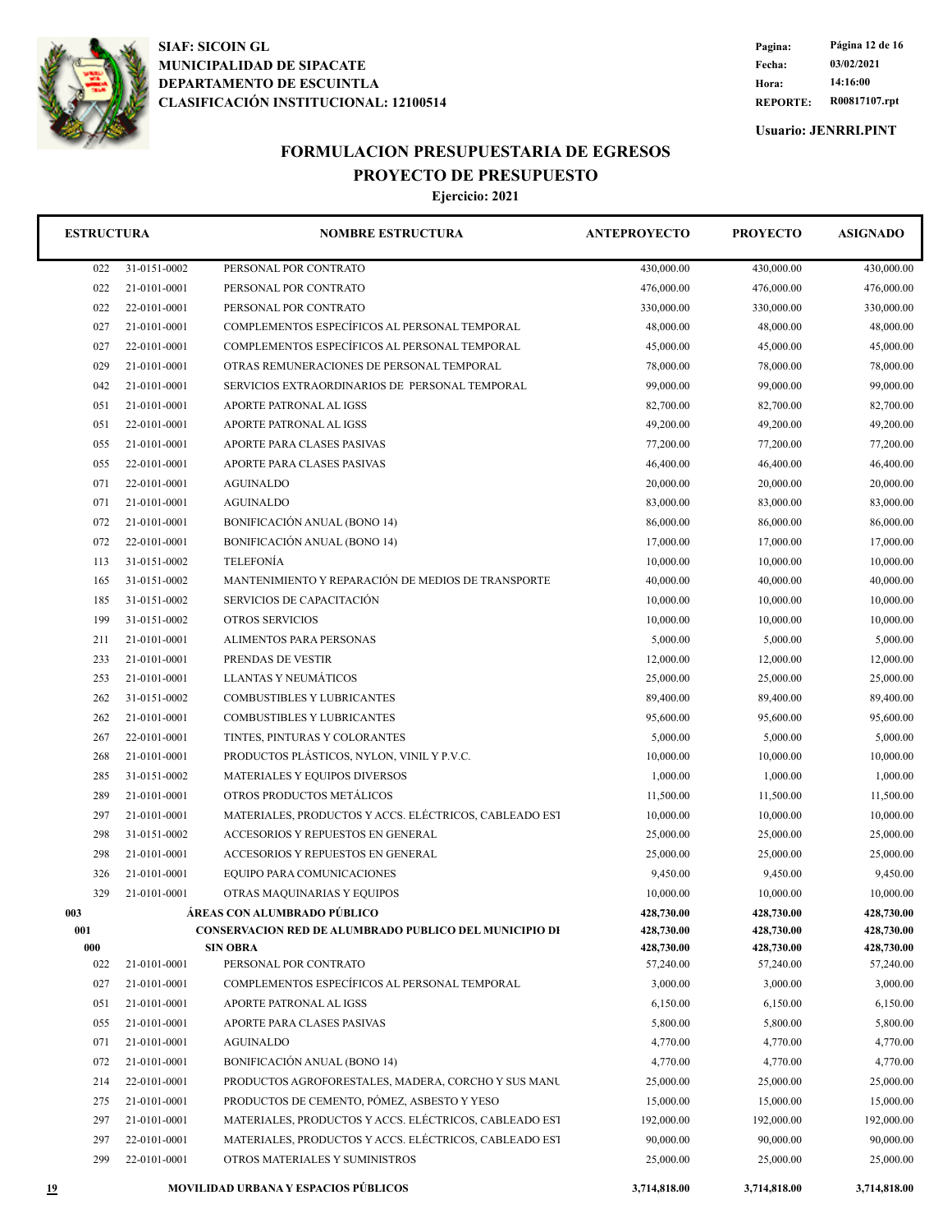

**REPORTE: R00817107.rpt Hora: 14:16:00 Fecha: 03/02/2021 Pagina: Página 12 de 16**

**Usuario: JENRRI.PINT**

## **FORMULACION PRESUPUESTARIA DE EGRESOS PROYECTO DE PRESUPUESTO**

| <b>ESTRUCTURA</b> |              | <b>NOMBRE ESTRUCTURA</b>                                                         | <b>ANTEPROYECTO</b>      | <b>PROYECTO</b>          | <b>ASIGNADO</b>          |
|-------------------|--------------|----------------------------------------------------------------------------------|--------------------------|--------------------------|--------------------------|
| 022               | 31-0151-0002 | PERSONAL POR CONTRATO                                                            | 430,000.00               | 430,000.00               | 430,000.00               |
| 022               | 21-0101-0001 | PERSONAL POR CONTRATO                                                            | 476,000.00               | 476,000.00               | 476,000.00               |
| 022               | 22-0101-0001 | PERSONAL POR CONTRATO                                                            | 330,000.00<br>330,000.00 |                          | 330,000.00               |
| 027               | 21-0101-0001 | COMPLEMENTOS ESPECÍFICOS AL PERSONAL TEMPORAL                                    | 48,000.00                | 48,000.00                | 48,000.00                |
| 027               | 22-0101-0001 | COMPLEMENTOS ESPECÍFICOS AL PERSONAL TEMPORAL                                    | 45,000.00                | 45,000.00                | 45,000.00                |
| 029               | 21-0101-0001 | OTRAS REMUNERACIONES DE PERSONAL TEMPORAL                                        | 78,000.00                | 78,000.00                | 78,000.00                |
| 042               | 21-0101-0001 | SERVICIOS EXTRAORDINARIOS DE PERSONAL TEMPORAL                                   | 99,000.00                | 99,000.00                | 99,000.00                |
| 051               | 21-0101-0001 | APORTE PATRONAL AL IGSS                                                          | 82,700.00                | 82,700.00                | 82,700.00                |
| 051               | 22-0101-0001 | APORTE PATRONAL AL IGSS                                                          | 49,200.00                | 49,200.00                | 49,200.00                |
| 055               | 21-0101-0001 | APORTE PARA CLASES PASIVAS                                                       | 77,200.00                | 77,200.00                | 77,200.00                |
| 055               | 22-0101-0001 | APORTE PARA CLASES PASIVAS                                                       | 46,400.00                | 46,400.00                | 46,400.00                |
| 071               | 22-0101-0001 | <b>AGUINALDO</b>                                                                 | 20,000.00                | 20,000.00                | 20,000.00                |
| 071               | 21-0101-0001 | <b>AGUINALDO</b>                                                                 | 83,000.00                | 83,000.00                | 83,000.00                |
| 072               | 21-0101-0001 | BONIFICACIÓN ANUAL (BONO 14)                                                     | 86,000.00                | 86,000.00                | 86,000.00                |
| 072               | 22-0101-0001 | BONIFICACIÓN ANUAL (BONO 14)                                                     | 17,000.00                | 17,000.00                | 17,000.00                |
| 113               | 31-0151-0002 | <b>TELEFONÍA</b>                                                                 | 10,000.00                | 10,000.00                | 10,000.00                |
| 165               | 31-0151-0002 | MANTENIMIENTO Y REPARACIÓN DE MEDIOS DE TRANSPORTE                               | 40,000.00                | 40,000.00                | 40,000.00                |
| 185               | 31-0151-0002 | SERVICIOS DE CAPACITACIÓN                                                        | 10,000.00                | 10,000.00                | 10,000.00                |
| 199               | 31-0151-0002 | <b>OTROS SERVICIOS</b>                                                           | 10,000.00                | 10,000.00                | 10,000.00                |
| 211               | 21-0101-0001 | ALIMENTOS PARA PERSONAS                                                          | 5,000.00                 | 5,000.00                 | 5,000.00                 |
| 233               | 21-0101-0001 | PRENDAS DE VESTIR                                                                | 12,000.00                | 12,000.00                | 12,000.00                |
| 253               | 21-0101-0001 | <b>LLANTAS Y NEUMÁTICOS</b>                                                      | 25,000.00                | 25,000.00                | 25,000.00                |
| 262               | 31-0151-0002 | COMBUSTIBLES Y LUBRICANTES                                                       | 89,400.00                | 89,400.00                | 89,400.00                |
| 262               | 21-0101-0001 | COMBUSTIBLES Y LUBRICANTES                                                       | 95,600.00                | 95,600.00                | 95,600.00                |
| 267               | 22-0101-0001 | TINTES, PINTURAS Y COLORANTES                                                    | 5,000.00                 | 5,000.00                 | 5,000.00                 |
| 268               | 21-0101-0001 | PRODUCTOS PLÁSTICOS, NYLON, VINIL Y P.V.C.                                       | 10,000.00                | 10,000.00                | 10,000.00                |
| 285               | 31-0151-0002 | MATERIALES Y EQUIPOS DIVERSOS                                                    | 1,000.00                 | 1,000.00                 | 1,000.00                 |
| 289               | 21-0101-0001 | OTROS PRODUCTOS METÁLICOS                                                        | 11,500.00                | 11,500.00                | 11,500.00                |
| 297               | 21-0101-0001 | MATERIALES, PRODUCTOS Y ACCS. ELÉCTRICOS, CABLEADO EST                           | 10,000.00                | 10,000.00                | 10,000.00                |
| 298               | 31-0151-0002 | ACCESORIOS Y REPUESTOS EN GENERAL                                                | 25,000.00                | 25,000.00                | 25,000.00                |
| 298               | 21-0101-0001 | ACCESORIOS Y REPUESTOS EN GENERAL                                                | 25,000.00                | 25,000.00                | 25,000.00                |
| 326               | 21-0101-0001 | EQUIPO PARA COMUNICACIONES                                                       | 9,450.00                 | 9,450.00                 | 9,450.00                 |
| 329               | 21-0101-0001 | OTRAS MAQUINARIAS Y EQUIPOS                                                      | 10,000.00                | 10,000.00                | 10,000.00                |
| 003               |              | ÁREAS CON ALUMBRADO PÚBLICO                                                      | 428,730.00               | 428,730.00               | 428,730.00               |
| 001<br>000        |              | <b>CONSERVACION RED DE ALUMBRADO PUBLICO DEL MUNICIPIO DE</b><br><b>SIN OBRA</b> | 428,730.00<br>428,730.00 | 428,730.00<br>428,730.00 | 428,730.00<br>428,730.00 |
| 022               | 21-0101-0001 | PERSONAL POR CONTRATO                                                            | 57,240.00                | 57,240.00                | 57,240.00                |
| 027               | 21-0101-0001 | COMPLEMENTOS ESPECÍFICOS AL PERSONAL TEMPORAL                                    | 3,000.00                 | 3,000.00                 | 3,000.00                 |
| 051               | 21-0101-0001 | APORTE PATRONAL AL IGSS                                                          | 6,150.00                 | 6,150.00                 | 6,150.00                 |
| 055               | 21-0101-0001 | APORTE PARA CLASES PASIVAS                                                       | 5,800.00                 | 5,800.00                 | 5,800.00                 |
| 071               | 21-0101-0001 | <b>AGUINALDO</b>                                                                 | 4,770.00                 | 4,770.00                 | 4,770.00                 |
| 072               | 21-0101-0001 | BONIFICACIÓN ANUAL (BONO 14)                                                     | 4,770.00                 | 4,770.00                 | 4,770.00                 |
| 214               | 22-0101-0001 | PRODUCTOS AGROFORESTALES, MADERA, CORCHO Y SUS MANU                              | 25,000.00                | 25,000.00                | 25,000.00                |
| 275               | 21-0101-0001 | PRODUCTOS DE CEMENTO, PÓMEZ, ASBESTO Y YESO                                      | 15,000.00                | 15,000.00                | 15,000.00                |
| 297               | 21-0101-0001 | MATERIALES, PRODUCTOS Y ACCS. ELÉCTRICOS, CABLEADO EST                           | 192,000.00               | 192,000.00               | 192,000.00               |
| 297               | 22-0101-0001 | MATERIALES, PRODUCTOS Y ACCS. ELÉCTRICOS, CABLEADO EST                           | 90,000.00                | 90,000.00                | 90,000.00                |
| 299               | 22-0101-0001 | OTROS MATERIALES Y SUMINISTROS                                                   | 25,000.00                | 25,000.00                | 25,000.00                |
| <u> 19</u>        |              | MOVILIDAD URBANA Y ESPACIOS PÚBLICOS                                             | 3,714,818.00             | 3,714,818.00             | 3,714,818.00             |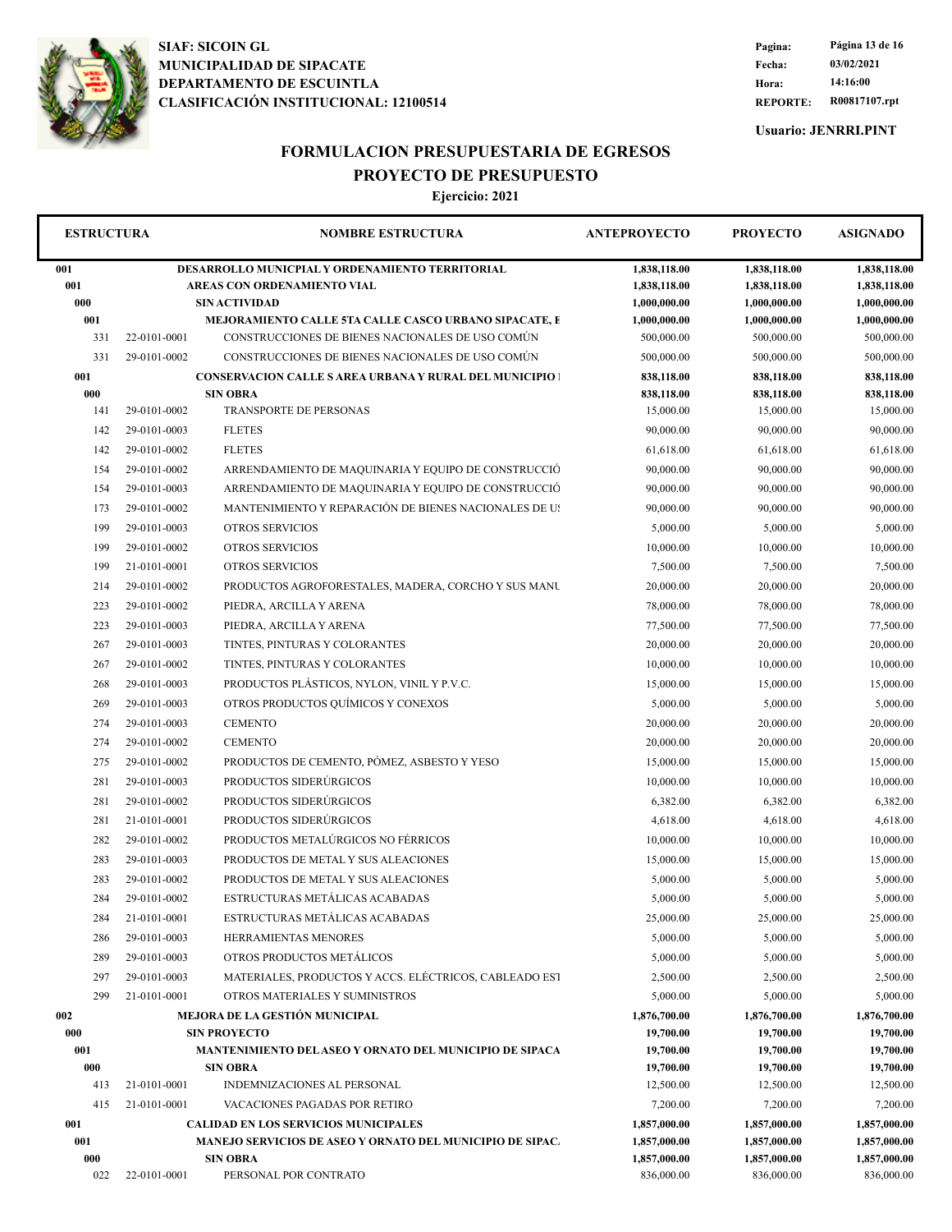

**REPORTE: R00817107.rpt Hora: 14:16:00 Fecha: 03/02/2021 Pagina: Página 13 de 16**

**Usuario: JENRRI.PINT**

## **FORMULACION PRESUPUESTARIA DE EGRESOS PROYECTO DE PRESUPUESTO**

| <b>ESTRUCTURA</b> |                                                                                                 | <b>NOMBRE ESTRUCTURA</b>                                                   |                                              | <b>PROYECTO</b>                              | <b>ASIGNADO</b>                              |
|-------------------|-------------------------------------------------------------------------------------------------|----------------------------------------------------------------------------|----------------------------------------------|----------------------------------------------|----------------------------------------------|
| 001<br>001<br>000 | DESARROLLO MUNICPIAL Y ORDENAMIENTO TERRITORIAL<br>AREAS CON ORDENAMIENTO VIAL<br>SIN ACTIVIDAD |                                                                            | 1,838,118.00<br>1,838,118.00<br>1,000,000.00 | 1,838,118.00<br>1,838,118.00<br>1,000,000.00 | 1,838,118.00<br>1,838,118.00<br>1,000,000.00 |
| 001               | MEJORAMIENTO CALLE 5TA CALLE CASCO URBANO SIPACATE, E                                           |                                                                            | 1,000,000.00                                 | 1,000,000.00                                 | 1,000,000.00                                 |
| 331               | 22-0101-0001                                                                                    | CONSTRUCCIONES DE BIENES NACIONALES DE USO COMÚN                           | 500,000.00                                   | 500,000.00                                   | 500,000.00                                   |
| 331               | 29-0101-0002                                                                                    | CONSTRUCCIONES DE BIENES NACIONALES DE USO COMÚN                           | 500,000.00                                   | 500,000.00                                   | 500,000.00                                   |
| 001               |                                                                                                 | <b>CONSERVACION CALLE S AREA URBANA Y RURAL DEL MUNICIPIO  </b>            | 838,118.00                                   | 838,118.00                                   | 838,118.00                                   |
| 000               |                                                                                                 | <b>SIN OBRA</b>                                                            | 838,118.00                                   | 838,118.00                                   | 838,118.00                                   |
| 141               | 29-0101-0002                                                                                    | TRANSPORTE DE PERSONAS                                                     | 15,000.00                                    | 15,000.00                                    | 15,000.00                                    |
| 142               | 29-0101-0003                                                                                    | <b>FLETES</b>                                                              | 90,000.00                                    | 90,000.00                                    | 90,000.00                                    |
| 142               | 29-0101-0002                                                                                    | <b>FLETES</b>                                                              | 61,618.00                                    | 61,618.00                                    | 61,618.00                                    |
| 154               | 29-0101-0002                                                                                    | ARRENDAMIENTO DE MAQUINARIA Y EQUIPO DE CONSTRUCCIÓ                        | 90,000.00                                    | 90,000.00                                    | 90,000.00                                    |
| 154               | 29-0101-0003                                                                                    | ARRENDAMIENTO DE MAQUINARIA Y EQUIPO DE CONSTRUCCIÓ                        | 90,000.00                                    | 90,000.00                                    | 90,000.00                                    |
| 173               | 29-0101-0002                                                                                    | MANTENIMIENTO Y REPARACIÓN DE BIENES NACIONALES DE US                      | 90,000.00                                    | 90,000.00                                    | 90,000.00                                    |
| 199               | 29-0101-0003                                                                                    | <b>OTROS SERVICIOS</b>                                                     | 5,000.00                                     | 5,000.00                                     | 5,000.00                                     |
| 199               | 29-0101-0002                                                                                    | OTROS SERVICIOS                                                            | 10,000.00                                    | 10,000.00                                    | 10,000.00                                    |
| 199               | 21-0101-0001                                                                                    | OTROS SERVICIOS                                                            | 7,500.00                                     | 7,500.00                                     | 7,500.00                                     |
| 214               | 29-0101-0002                                                                                    | PRODUCTOS AGROFORESTALES, MADERA, CORCHO Y SUS MANU                        | 20,000.00                                    | 20,000.00                                    | 20,000.00                                    |
| 223               | 29-0101-0002                                                                                    | PIEDRA, ARCILLA Y ARENA                                                    | 78,000.00                                    | 78,000.00                                    | 78,000.00                                    |
| 223               | 29-0101-0003                                                                                    | PIEDRA, ARCILLA Y ARENA                                                    | 77,500.00                                    | 77,500.00                                    | 77,500.00                                    |
| 267               | 29-0101-0003                                                                                    | TINTES, PINTURAS Y COLORANTES                                              | 20,000.00                                    | 20,000.00                                    | 20,000.00                                    |
| 267               | 29-0101-0002                                                                                    | TINTES, PINTURAS Y COLORANTES                                              | 10,000.00                                    | 10,000.00                                    | 10,000.00                                    |
| 268               | 29-0101-0003                                                                                    | PRODUCTOS PLÁSTICOS, NYLON, VINIL Y P.V.C.                                 | 15,000.00                                    | 15,000.00                                    | 15,000.00                                    |
| 269               | 29-0101-0003                                                                                    | OTROS PRODUCTOS QUÍMICOS Y CONEXOS                                         | 5,000.00                                     | 5,000.00                                     | 5,000.00                                     |
| 274               | 29-0101-0003                                                                                    | <b>CEMENTO</b>                                                             | 20,000.00                                    | 20,000.00                                    | 20,000.00                                    |
| 274               | 29-0101-0002                                                                                    | <b>CEMENTO</b>                                                             | 20,000.00                                    | 20,000.00                                    | 20,000.00                                    |
| 275               | 29-0101-0002                                                                                    | PRODUCTOS DE CEMENTO, PÓMEZ, ASBESTO Y YESO                                | 15,000.00                                    | 15,000.00                                    | 15,000.00                                    |
| 281               | 29-0101-0003                                                                                    | PRODUCTOS SIDERÚRGICOS                                                     | 10,000.00                                    | 10,000.00                                    | 10,000.00                                    |
| 281               | 29-0101-0002                                                                                    | PRODUCTOS SIDERÚRGICOS                                                     | 6,382.00                                     | 6,382.00                                     | 6,382.00                                     |
| 281               | 21-0101-0001                                                                                    | PRODUCTOS SIDERÚRGICOS                                                     | 4,618.00                                     | 4,618.00                                     | 4,618.00                                     |
| 282               | 29-0101-0002                                                                                    | PRODUCTOS METALÚRGICOS NO FÉRRICOS                                         | 10,000.00                                    | 10,000.00                                    | 10,000.00                                    |
|                   | 29-0101-0003                                                                                    | PRODUCTOS DE METAL Y SUS ALEACIONES                                        | 15,000.00                                    | 15,000.00                                    | 15,000.00                                    |
| 283               |                                                                                                 | PRODUCTOS DE METAL Y SUS ALEACIONES                                        |                                              |                                              |                                              |
| 283               | 29-0101-0002                                                                                    | ESTRUCTURAS METÁLICAS ACABADAS                                             | 5,000.00                                     | 5,000.00                                     | 5,000.00                                     |
| 284               | 29-0101-0002                                                                                    |                                                                            | 5,000.00                                     | 5,000.00                                     | 5,000.00                                     |
| 284               | 21-0101-0001                                                                                    | ESTRUCTURAS METÁLICAS ACABADAS                                             | 25,000.00                                    | 25,000.00                                    | 25,000.00                                    |
| 286               | 29-0101-0003                                                                                    | HERRAMIENTAS MENORES                                                       | 5,000.00                                     | 5,000.00                                     | 5,000.00                                     |
| 289               | 29-0101-0003                                                                                    | OTROS PRODUCTOS METÁLICOS                                                  | 5,000.00                                     | 5,000.00                                     | 5,000.00                                     |
| 297               | 29-0101-0003                                                                                    | MATERIALES, PRODUCTOS Y ACCS. ELÉCTRICOS, CABLEADO EST                     | 2,500.00                                     | 2,500.00                                     | 2,500.00                                     |
| 299               | 21-0101-0001                                                                                    | OTROS MATERIALES Y SUMINISTROS                                             | 5,000.00                                     | 5,000.00                                     | 5,000.00                                     |
| 002               |                                                                                                 | MEJORA DE LA GESTIÓN MUNICIPAL                                             | 1,876,700.00                                 | 1,876,700.00                                 | 1,876,700.00                                 |
| 000               |                                                                                                 | <b>SIN PROYECTO</b>                                                        | 19,700.00                                    | 19,700.00                                    | 19,700.00                                    |
| 001<br>000        |                                                                                                 | MANTENIMIENTO DEL ASEO Y ORNATO DEL MUNICIPIO DE SIPACA<br><b>SIN OBRA</b> | 19,700.00<br>19,700.00                       | 19,700.00<br>19,700.00                       | 19,700.00<br>19,700.00                       |
| 413               | 21-0101-0001                                                                                    | INDEMNIZACIONES AL PERSONAL                                                | 12,500.00                                    | 12,500.00                                    | 12,500.00                                    |
| 415               | 21-0101-0001                                                                                    | VACACIONES PAGADAS POR RETIRO                                              | 7,200.00                                     | 7,200.00                                     | 7,200.00                                     |
| 001               |                                                                                                 | <b>CALIDAD EN LOS SERVICIOS MUNICIPALES</b>                                | 1,857,000.00                                 | 1,857,000.00                                 | 1,857,000.00                                 |
| 001               |                                                                                                 | <b>MANEJO SERVICIOS DE ASEO Y ORNATO DEL MUNICIPIO DE SIPAC.</b>           | 1,857,000.00                                 | 1,857,000.00                                 | 1,857,000.00                                 |
| 000               |                                                                                                 | <b>SIN OBRA</b>                                                            | 1,857,000.00                                 | 1,857,000.00                                 | 1,857,000.00                                 |
| 022               | 22-0101-0001                                                                                    | PERSONAL POR CONTRATO                                                      | 836,000.00                                   | 836,000.00                                   | 836,000.00                                   |
|                   |                                                                                                 |                                                                            |                                              |                                              |                                              |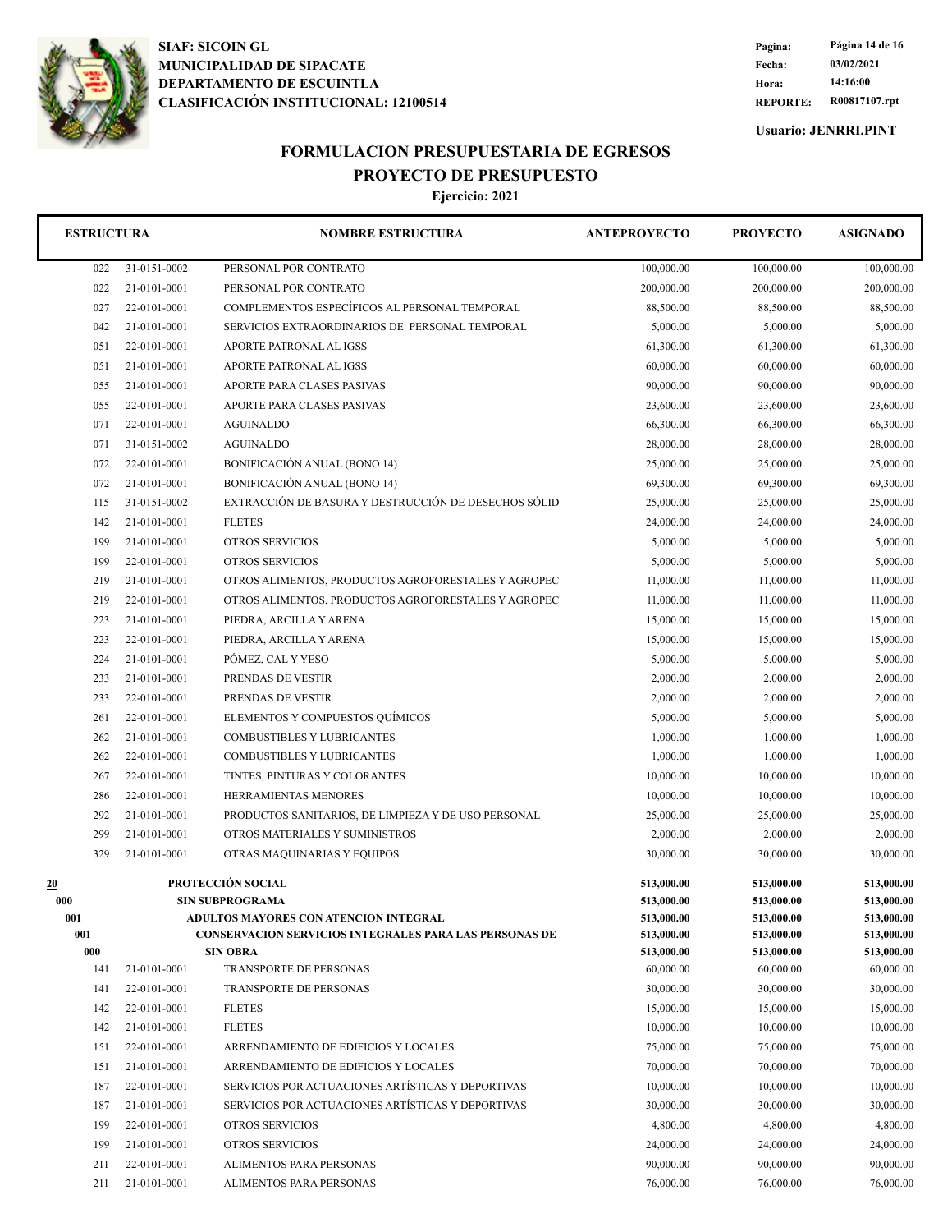

**REPORTE: R00817107.rpt Hora: 14:16:00 Fecha: 03/02/2021 Pagina: Página 14 de 16**

**Usuario: JENRRI.PINT**

## **FORMULACION PRESUPUESTARIA DE EGRESOS PROYECTO DE PRESUPUESTO**

| <b>ESTRUCTURA</b> |                   | <b>NOMBRE ESTRUCTURA</b>                                                                               | <b>ANTEPROYECTO</b>      | <b>PROYECTO</b>          | <b>ASIGNADO</b>          |
|-------------------|-------------------|--------------------------------------------------------------------------------------------------------|--------------------------|--------------------------|--------------------------|
| 022               | 31-0151-0002      | PERSONAL POR CONTRATO                                                                                  | 100,000.00               | 100,000.00               | 100,000.00               |
| 022               | 21-0101-0001      | PERSONAL POR CONTRATO                                                                                  | 200,000.00               | 200,000.00               | 200,000.00               |
| 027               | 22-0101-0001      | COMPLEMENTOS ESPECÍFICOS AL PERSONAL TEMPORAL                                                          | 88,500.00                | 88,500.00                | 88,500.00                |
| 042               | 21-0101-0001      | SERVICIOS EXTRAORDINARIOS DE PERSONAL TEMPORAL                                                         | 5,000.00                 | 5,000.00                 | 5,000.00                 |
| 051               | 22-0101-0001      | APORTE PATRONAL AL IGSS                                                                                | 61,300.00                | 61,300.00                | 61,300.00                |
| 051               | 21-0101-0001      | APORTE PATRONAL AL IGSS                                                                                | 60,000.00                | 60,000.00                | 60,000.00                |
| 055               | 21-0101-0001      | APORTE PARA CLASES PASIVAS                                                                             | 90,000.00                | 90,000.00                | 90,000.00                |
| 055               | 22-0101-0001      | APORTE PARA CLASES PASIVAS                                                                             | 23,600.00                | 23,600.00                | 23,600.00                |
| 071               | 22-0101-0001      | <b>AGUINALDO</b>                                                                                       | 66,300.00                | 66,300.00                | 66,300.00                |
| 071               | 31-0151-0002      | <b>AGUINALDO</b>                                                                                       | 28,000.00                | 28,000.00                | 28,000.00                |
| 072               | 22-0101-0001      | BONIFICACIÓN ANUAL (BONO 14)                                                                           | 25,000.00                | 25,000.00                | 25,000.00                |
| 072               | 21-0101-0001      | BONIFICACIÓN ANUAL (BONO 14)                                                                           | 69,300.00                | 69,300.00                | 69,300.00                |
| 115               | 31-0151-0002      | EXTRACCIÓN DE BASURA Y DESTRUCCIÓN DE DESECHOS SÓLID                                                   | 25,000.00                | 25,000.00                | 25,000.00                |
| 142               | 21-0101-0001      | <b>FLETES</b>                                                                                          | 24,000.00                | 24,000.00                | 24,000.00                |
| 199               | 21-0101-0001      | <b>OTROS SERVICIOS</b>                                                                                 | 5,000.00                 | 5,000.00                 | 5,000.00                 |
| 199               | 22-0101-0001      | <b>OTROS SERVICIOS</b>                                                                                 | 5,000.00                 | 5,000.00                 | 5,000.00                 |
| 219               | 21-0101-0001      | OTROS ALIMENTOS, PRODUCTOS AGROFORESTALES Y AGROPEC                                                    | 11,000.00                | 11,000.00                | 11,000.00                |
| 219               | 22-0101-0001      | OTROS ALIMENTOS, PRODUCTOS AGROFORESTALES Y AGROPEC                                                    | 11,000.00                | 11,000.00                | 11,000.00                |
| 223               | 21-0101-0001      | PIEDRA, ARCILLA Y ARENA                                                                                | 15,000.00                | 15,000.00                | 15,000.00                |
| 223               | 22-0101-0001      | PIEDRA, ARCILLA Y ARENA                                                                                | 15,000.00                | 15,000.00                | 15,000.00                |
| 224               | 21-0101-0001      | PÓMEZ, CAL Y YESO                                                                                      | 5,000.00                 | 5,000.00                 | 5,000.00                 |
| 233               | 21-0101-0001      | PRENDAS DE VESTIR                                                                                      | 2,000.00                 | 2,000.00                 | 2,000.00                 |
| 233               | 22-0101-0001      | PRENDAS DE VESTIR                                                                                      | 2,000.00                 | 2,000.00                 | 2,000.00                 |
| 261               | 22-0101-0001      | ELEMENTOS Y COMPUESTOS QUÍMICOS                                                                        | 5,000.00                 | 5,000.00                 | 5,000.00                 |
| 262               | 21-0101-0001      | <b>COMBUSTIBLES Y LUBRICANTES</b>                                                                      | 1,000.00                 | 1,000.00                 | 1,000.00                 |
| 262               | 22-0101-0001      | COMBUSTIBLES Y LUBRICANTES                                                                             | 1,000.00                 | 1,000.00                 | 1,000.00                 |
| 267               | 22-0101-0001      | TINTES, PINTURAS Y COLORANTES                                                                          | 10,000.00                | 10,000.00                | 10,000.00                |
| 286               | 22-0101-0001      | HERRAMIENTAS MENORES                                                                                   | 10,000.00                | 10,000.00                | 10,000.00                |
| 292               | 21-0101-0001      | PRODUCTOS SANITARIOS, DE LIMPIEZA Y DE USO PERSONAL                                                    | 25,000.00                | 25,000.00                | 25,000.00                |
| 299               | 21-0101-0001      | OTROS MATERIALES Y SUMINISTROS                                                                         | 2,000.00                 | 2,000.00                 | 2,000.00                 |
| 329               | 21-0101-0001      | OTRAS MAQUINARIAS Y EQUIPOS                                                                            | 30,000.00                | 30,000.00                | 30,000.00                |
|                   |                   |                                                                                                        |                          |                          |                          |
| 20                | PROTECCIÓN SOCIAL |                                                                                                        | 513,000.00               | 513,000.00               | 513,000.00               |
| 000               |                   | <b>SIN SUBPROGRAMA</b>                                                                                 | 513,000.00               | 513,000.00               | 513,000.00               |
| 001<br>001        |                   | ADULTOS MAYORES CON ATENCION INTEGRAL<br><b>CONSERVACION SERVICIOS INTEGRALES PARA LAS PERSONAS DE</b> | 513,000.00<br>513,000.00 | 513,000.00<br>513,000.00 | 513,000.00<br>513,000.00 |
| 000               |                   | <b>SIN OBRA</b>                                                                                        | 513,000.00               | 513,000.00               | 513,000.00               |
| 141               | 21-0101-0001      | TRANSPORTE DE PERSONAS                                                                                 | 60,000.00                | 60,000.00                | 60,000.00                |
| 141               | 22-0101-0001      | TRANSPORTE DE PERSONAS                                                                                 | 30,000.00                | 30,000.00                | 30,000.00                |
| 142               | 22-0101-0001      | <b>FLETES</b>                                                                                          | 15,000.00                | 15,000.00                | 15,000.00                |
| 142               | 21-0101-0001      | <b>FLETES</b>                                                                                          | 10,000.00                | 10,000.00                | 10,000.00                |
| 151               | 22-0101-0001      | ARRENDAMIENTO DE EDIFICIOS Y LOCALES                                                                   | 75,000.00                | 75,000.00                | 75,000.00                |
| 151               | 21-0101-0001      | ARRENDAMIENTO DE EDIFICIOS Y LOCALES                                                                   | 70,000.00                | 70,000.00                | 70,000.00                |
| 187               | 22-0101-0001      | SERVICIOS POR ACTUACIONES ARTÍSTICAS Y DEPORTIVAS                                                      | 10,000.00                | 10,000.00                | 10,000.00                |
| 187               | 21-0101-0001      | SERVICIOS POR ACTUACIONES ARTÍSTICAS Y DEPORTIVAS                                                      | 30,000.00                | 30,000.00                | 30,000.00                |
| 199               | 22-0101-0001      | <b>OTROS SERVICIOS</b>                                                                                 | 4,800.00                 | 4,800.00                 | 4,800.00                 |
| 199               | 21-0101-0001      | OTROS SERVICIOS                                                                                        | 24,000.00                | 24,000.00                | 24,000.00                |
| 211               | 22-0101-0001      | ALIMENTOS PARA PERSONAS                                                                                | 90,000.00                | 90,000.00                | 90,000.00                |
| 211               | 21-0101-0001      | ALIMENTOS PARA PERSONAS                                                                                | 76,000.00                | 76,000.00                | 76,000.00                |
|                   |                   |                                                                                                        |                          |                          |                          |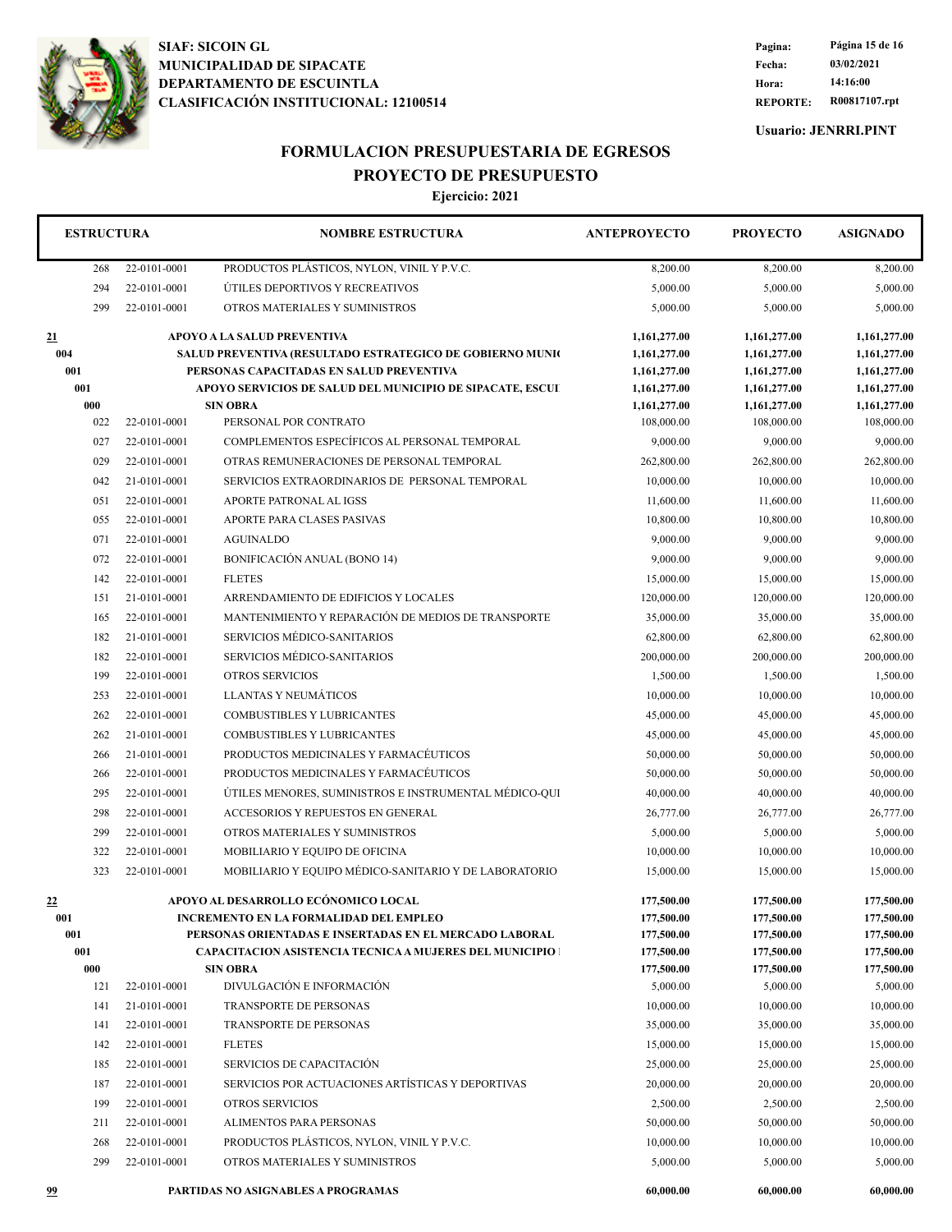

**REPORTE: R00817107.rpt Hora: 14:16:00 Fecha: 03/02/2021 Pagina: Página 15 de 16**

**Usuario: JENRRI.PINT**

## **FORMULACION PRESUPUESTARIA DE EGRESOS PROYECTO DE PRESUPUESTO**

| <b>ESTRUCTURA</b> |                                                                                          | <b>NOMBRE ESTRUCTURA</b>                                         | <b>ANTEPROYECTO</b>          | <b>PROYECTO</b>              | <b>ASIGNADO</b>              |
|-------------------|------------------------------------------------------------------------------------------|------------------------------------------------------------------|------------------------------|------------------------------|------------------------------|
| 268               | 22-0101-0001                                                                             | PRODUCTOS PLÁSTICOS, NYLON, VINIL Y P.V.C.                       | 8,200.00                     | 8,200.00                     | 8,200.00                     |
| 294               | 22-0101-0001                                                                             | ÚTILES DEPORTIVOS Y RECREATIVOS                                  | 5,000.00                     | 5,000.00                     | 5,000.00                     |
| 299               | 22-0101-0001                                                                             | OTROS MATERIALES Y SUMINISTROS                                   | 5,000.00                     | 5,000.00                     | 5,000.00                     |
| 21<br>004         | APOYO A LA SALUD PREVENTIVA<br>SALUD PREVENTIVA (RESULTADO ESTRATEGICO DE GOBIERNO MUNIC |                                                                  | 1,161,277.00<br>1,161,277.00 | 1,161,277.00<br>1,161,277.00 | 1,161,277.00<br>1,161,277.00 |
| 001               |                                                                                          | PERSONAS CAPACITADAS EN SALUD PREVENTIVA                         | 1,161,277.00                 | 1,161,277.00                 | 1,161,277.00                 |
| 001               |                                                                                          | APOYO SERVICIOS DE SALUD DEL MUNICIPIO DE SIPACATE, ESCUI        | 1,161,277.00                 | 1,161,277.00                 | 1,161,277.00                 |
| 000               |                                                                                          | <b>SIN OBRA</b>                                                  | 1,161,277.00                 | 1,161,277.00                 | 1,161,277.00                 |
| 022               | 22-0101-0001                                                                             | PERSONAL POR CONTRATO                                            | 108,000.00                   | 108,000.00                   | 108,000.00                   |
| 027               | 22-0101-0001                                                                             | COMPLEMENTOS ESPECÍFICOS AL PERSONAL TEMPORAL                    | 9,000.00                     | 9,000.00                     | 9,000.00                     |
| 029               | 22-0101-0001                                                                             | OTRAS REMUNERACIONES DE PERSONAL TEMPORAL                        | 262,800.00                   | 262,800.00                   | 262,800.00                   |
| 042               | 21-0101-0001                                                                             | SERVICIOS EXTRAORDINARIOS DE PERSONAL TEMPORAL                   | 10,000.00                    | 10,000.00                    | 10,000.00                    |
| 051               | 22-0101-0001                                                                             | APORTE PATRONAL AL IGSS                                          | 11,600.00                    | 11,600.00                    | 11,600.00                    |
| 055               | 22-0101-0001                                                                             | APORTE PARA CLASES PASIVAS                                       | 10,800.00                    | 10,800.00                    | 10,800.00                    |
| 071               | 22-0101-0001<br><b>AGUINALDO</b>                                                         |                                                                  | 9,000.00                     | 9,000.00                     | 9,000.00                     |
| 072               | 22-0101-0001                                                                             | BONIFICACIÓN ANUAL (BONO 14)                                     | 9,000.00                     | 9,000.00                     | 9,000.00                     |
| 142               | 22-0101-0001                                                                             | <b>FLETES</b>                                                    | 15,000.00                    | 15,000.00                    | 15,000.00                    |
| 151               | 21-0101-0001                                                                             | ARRENDAMIENTO DE EDIFICIOS Y LOCALES                             | 120,000.00                   | 120,000.00                   | 120,000.00                   |
| 165               | 22-0101-0001                                                                             | MANTENIMIENTO Y REPARACIÓN DE MEDIOS DE TRANSPORTE               | 35,000.00                    | 35,000.00                    | 35,000.00                    |
| 182               | 21-0101-0001                                                                             | SERVICIOS MÉDICO-SANITARIOS                                      | 62,800.00                    | 62,800.00                    | 62,800.00                    |
| 182               | 22-0101-0001                                                                             | SERVICIOS MÉDICO-SANITARIOS                                      | 200,000.00                   | 200,000.00                   | 200,000.00                   |
| 199               | 22-0101-0001                                                                             | <b>OTROS SERVICIOS</b>                                           | 1,500.00                     | 1,500.00                     | 1,500.00                     |
| 253               | 22-0101-0001                                                                             | LLANTAS Y NEUMÁTICOS                                             | 10,000.00                    | 10,000.00                    | 10,000.00                    |
| 262               | 22-0101-0001                                                                             | <b>COMBUSTIBLES Y LUBRICANTES</b>                                | 45,000.00                    | 45,000.00                    | 45,000.00                    |
| 262               | 21-0101-0001                                                                             | <b>COMBUSTIBLES Y LUBRICANTES</b>                                | 45,000.00                    | 45,000.00                    | 45,000.00                    |
| 266               | 21-0101-0001                                                                             | PRODUCTOS MEDICINALES Y FARMACÉUTICOS                            | 50,000.00                    | 50,000.00                    | 50,000.00                    |
| 266               | 22-0101-0001                                                                             | PRODUCTOS MEDICINALES Y FARMACÉUTICOS                            | 50,000.00                    | 50,000.00                    | 50,000.00                    |
| 295               | 22-0101-0001                                                                             | ÚTILES MENORES, SUMINISTROS E INSTRUMENTAL MÉDICO-QUI            | 40,000.00                    | 40,000.00                    | 40,000.00                    |
| 298               | 22-0101-0001                                                                             | <b>ACCESORIOS Y REPUESTOS EN GENERAL</b>                         | 26,777.00                    | 26,777.00                    | 26,777.00                    |
| 299               | 22-0101-0001                                                                             | OTROS MATERIALES Y SUMINISTROS                                   | 5,000.00                     | 5,000.00                     | 5,000.00                     |
| 322               | 22-0101-0001                                                                             | MOBILIARIO Y EQUIPO DE OFICINA                                   | 10,000.00                    | 10,000.00                    | 10,000.00                    |
| 323               | 22-0101-0001                                                                             | MOBILIARIO Y EQUIPO MÉDICO-SANITARIO Y DE LABORATORIO            | 15,000.00                    | 15,000.00                    | 15,000.00                    |
| $^{22}$           |                                                                                          | APOYO AL DESARROLLO ECÓNOMICO LOCAL                              | 177,500.00                   | 177,500.00                   | 177,500.00                   |
| 001               |                                                                                          | <b>INCREMENTO EN LA FORMALIDAD DEL EMPLEO</b>                    | 177,500.00                   | 177,500.00                   | 177,500.00                   |
| 001               |                                                                                          | PERSONAS ORIENTADAS E INSERTADAS EN EL MERCADO LABORAL           | 177,500.00                   | 177,500.00                   | 177,500.00                   |
| 001               |                                                                                          | <b>CAPACITACION ASISTENCIA TECNICA A MUJERES DEL MUNICIPIO  </b> | 177,500.00                   | 177,500.00                   | 177,500.00                   |
| 000               |                                                                                          | <b>SIN OBRA</b><br>DIVULGACIÓN E INFORMACIÓN                     | 177,500.00                   | 177,500.00                   | 177,500.00                   |
| 121               | 22-0101-0001                                                                             |                                                                  | 5,000.00                     | 5,000.00                     | 5,000.00                     |
| 141               | 21-0101-0001                                                                             | TRANSPORTE DE PERSONAS                                           | 10,000.00                    | 10,000.00                    | 10,000.00                    |
| 141               | 22-0101-0001                                                                             | TRANSPORTE DE PERSONAS                                           | 35,000.00                    | 35,000.00                    | 35,000.00                    |
| 142               | 22-0101-0001                                                                             | <b>FLETES</b>                                                    | 15,000.00                    | 15,000.00                    | 15,000.00                    |
| 185               | 22-0101-0001                                                                             | SERVICIOS DE CAPACITACIÓN                                        | 25,000.00                    | 25,000.00                    | 25,000.00                    |
| 187               | 22-0101-0001                                                                             | SERVICIOS POR ACTUACIONES ARTÍSTICAS Y DEPORTIVAS                | 20,000.00                    | 20,000.00                    | 20,000.00                    |
| 199               | 22-0101-0001                                                                             | <b>OTROS SERVICIOS</b>                                           | 2,500.00                     | 2,500.00                     | 2,500.00                     |
| 211               | 22-0101-0001                                                                             | ALIMENTOS PARA PERSONAS                                          | 50,000.00                    | 50,000.00                    | 50,000.00                    |
| 268               | 22-0101-0001                                                                             | PRODUCTOS PLÁSTICOS, NYLON, VINIL Y P.V.C.                       | 10,000.00                    | 10,000.00                    | 10,000.00                    |
| 299               | 22-0101-0001                                                                             | OTROS MATERIALES Y SUMINISTROS                                   | 5,000.00                     | 5,000.00                     | 5,000.00                     |
| 99                |                                                                                          | PARTIDAS NO ASIGNABLES A PROGRAMAS                               | 60,000.00                    | 60,000.00                    | 60,000.00                    |